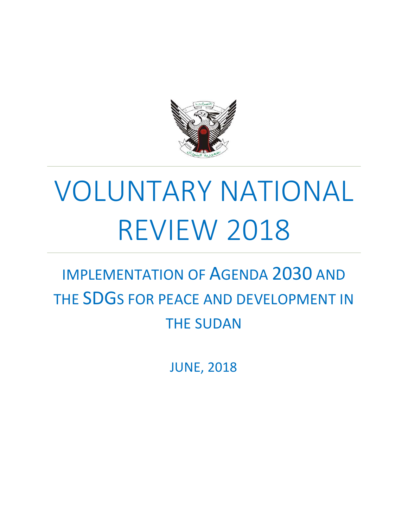

# VOLUNTARY NATIONAL REVIEW 2018

# IMPLEMENTATION OF AGENDA 2030 AND THE SDGS FOR PEACE AND DEVELOPMENT IN THE SUDAN

JUNE, 2018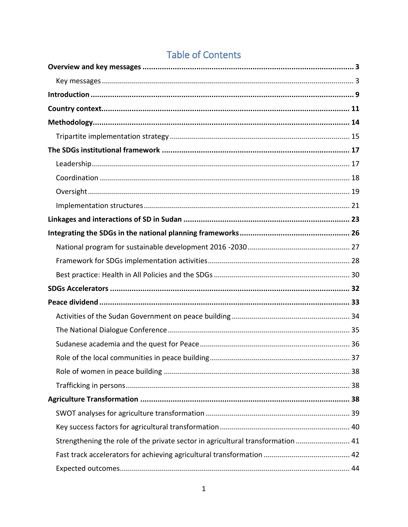| Strengthening the role of the private sector in agricultural transformation  41 |  |
|---------------------------------------------------------------------------------|--|
|                                                                                 |  |
|                                                                                 |  |

# **Table of Contents**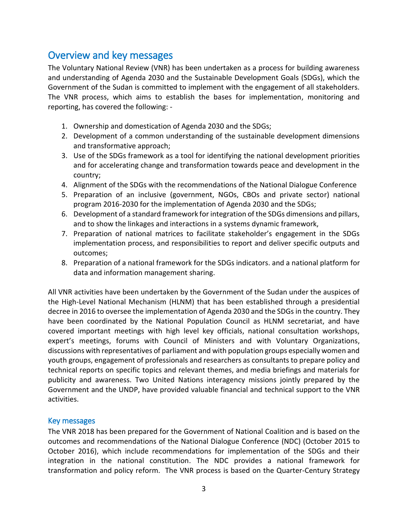# <span id="page-3-0"></span>Overview and key messages

The Voluntary National Review (VNR) has been undertaken as a process for building awareness and understanding of Agenda 2030 and the Sustainable Development Goals (SDGs), which the Government of the Sudan is committed to implement with the engagement of all stakeholders. The VNR process, which aims to establish the bases for implementation, monitoring and reporting, has covered the following: -

- 1. Ownership and domestication of Agenda 2030 and the SDGs;
- 2. Development of a common understanding of the sustainable development dimensions and transformative approach;
- 3. Use of the SDGs framework as a tool for identifying the national development priorities and for accelerating change and transformation towards peace and development in the country;
- 4. Alignment of the SDGs with the recommendations of the National Dialogue Conference
- 5. Preparation of an inclusive (government, NGOs, CBOs and private sector) national program 2016-2030 for the implementation of Agenda 2030 and the SDGs;
- 6. Development of a standard framework for integration of the SDGs dimensions and pillars, and to show the linkages and interactions in a systems dynamic framework,
- 7. Preparation of national matrices to facilitate stakeholder's engagement in the SDGs implementation process, and responsibilities to report and deliver specific outputs and outcomes;
- 8. Preparation of a national framework for the SDGs indicators. and a national platform for data and information management sharing.

All VNR activities have been undertaken by the Government of the Sudan under the auspices of the High-Level National Mechanism (HLNM) that has been established through a presidential decree in 2016 to oversee the implementation of Agenda 2030 and the SDGs in the country. They have been coordinated by the National Population Council as HLNM secretariat, and have covered important meetings with high level key officials, national consultation workshops, expert's meetings, forums with Council of Ministers and with Voluntary Organizations, discussions with representatives of parliament and with population groups especially women and youth groups, engagement of professionals and researchers as consultants to prepare policy and technical reports on specific topics and relevant themes, and media briefings and materials for publicity and awareness. Two United Nations interagency missions jointly prepared by the Government and the UNDP, have provided valuable financial and technical support to the VNR activities.

#### <span id="page-3-1"></span>Key messages

The VNR 2018 has been prepared for the Government of National Coalition and is based on the outcomes and recommendations of the National Dialogue Conference (NDC) (October 2015 to October 2016), which include recommendations for implementation of the SDGs and their integration in the national constitution. The NDC provides a national framework for transformation and policy reform. The VNR process is based on the Quarter-Century Strategy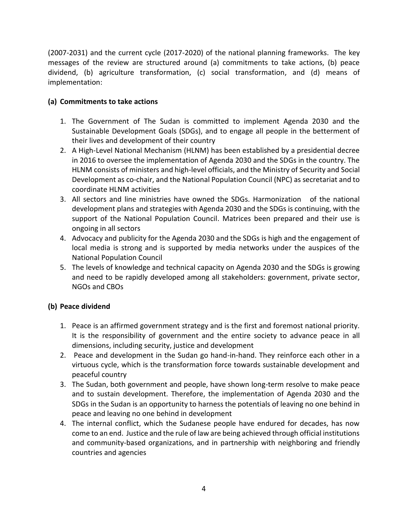(2007-2031) and the current cycle (2017-2020) of the national planning frameworks. The key messages of the review are structured around (a) commitments to take actions, (b) peace dividend, (b) agriculture transformation, (c) social transformation, and (d) means of implementation:

#### **(a) Commitments to take actions**

- 1. The Government of The Sudan is committed to implement Agenda 2030 and the Sustainable Development Goals (SDGs), and to engage all people in the betterment of their lives and development of their country
- 2. A High-Level National Mechanism (HLNM) has been established by a presidential decree in 2016 to oversee the implementation of Agenda 2030 and the SDGs in the country. The HLNM consists of ministers and high-level officials, and the Ministry of Security and Social Development as co-chair, and the National Population Council (NPC) as secretariat and to coordinate HLNM activities
- 3. All sectors and line ministries have owned the SDGs. Harmonization of the national development plans and strategies with Agenda 2030 and the SDGs is continuing, with the support of the National Population Council. Matrices been prepared and their use is ongoing in all sectors
- 4. Advocacy and publicity for the Agenda 2030 and the SDGs is high and the engagement of local media is strong and is supported by media networks under the auspices of the National Population Council
- 5. The levels of knowledge and technical capacity on Agenda 2030 and the SDGs is growing and need to be rapidly developed among all stakeholders: government, private sector, NGOs and CBOs

#### **(b) Peace dividend**

- 1. Peace is an affirmed government strategy and is the first and foremost national priority. It is the responsibility of government and the entire society to advance peace in all dimensions, including security, justice and development
- 2. Peace and development in the Sudan go hand-in-hand. They reinforce each other in a virtuous cycle, which is the transformation force towards sustainable development and peaceful country
- 3. The Sudan, both government and people, have shown long-term resolve to make peace and to sustain development. Therefore, the implementation of Agenda 2030 and the SDGs in the Sudan is an opportunity to harness the potentials of leaving no one behind in peace and leaving no one behind in development
- 4. The internal conflict, which the Sudanese people have endured for decades, has now come to an end. Justice and the rule of law are being achieved through official institutions and community-based organizations, and in partnership with neighboring and friendly countries and agencies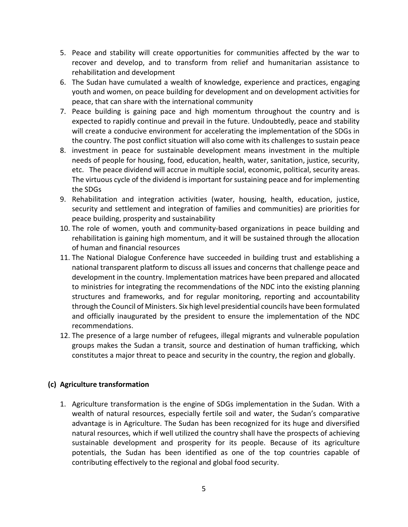- 5. Peace and stability will create opportunities for communities affected by the war to recover and develop, and to transform from relief and humanitarian assistance to rehabilitation and development
- 6. The Sudan have cumulated a wealth of knowledge, experience and practices, engaging youth and women, on peace building for development and on development activities for peace, that can share with the international community
- 7. Peace building is gaining pace and high momentum throughout the country and is expected to rapidly continue and prevail in the future. Undoubtedly, peace and stability will create a conducive environment for accelerating the implementation of the SDGs in the country. The post conflict situation will also come with its challenges to sustain peace
- 8. investment in peace for sustainable development means investment in the multiple needs of people for housing, food, education, health, water, sanitation, justice, security, etc. The peace dividend will accrue in multiple social, economic, political, security areas. The virtuous cycle of the dividend is important for sustaining peace and for implementing the SDGs
- 9. Rehabilitation and integration activities (water, housing, health, education, justice, security and settlement and integration of families and communities) are priorities for peace building, prosperity and sustainability
- 10. The role of women, youth and community-based organizations in peace building and rehabilitation is gaining high momentum, and it will be sustained through the allocation of human and financial resources
- 11. The National Dialogue Conference have succeeded in building trust and establishing a national transparent platform to discuss all issues and concerns that challenge peace and development in the country. Implementation matrices have been prepared and allocated to ministries for integrating the recommendations of the NDC into the existing planning structures and frameworks, and for regular monitoring, reporting and accountability through the Council of Ministers. Six high level presidential councils have been formulated and officially inaugurated by the president to ensure the implementation of the NDC recommendations.
- 12. The presence of a large number of refugees, illegal migrants and vulnerable population groups makes the Sudan a transit, source and destination of human trafficking, which constitutes a major threat to peace and security in the country, the region and globally.

#### **(c) Agriculture transformation**

1. Agriculture transformation is the engine of SDGs implementation in the Sudan. With a wealth of natural resources, especially fertile soil and water, the Sudan's comparative advantage is in Agriculture. The Sudan has been recognized for its huge and diversified natural resources, which if well utilized the country shall have the prospects of achieving sustainable development and prosperity for its people. Because of its agriculture potentials, the Sudan has been identified as one of the top countries capable of contributing effectively to the regional and global food security.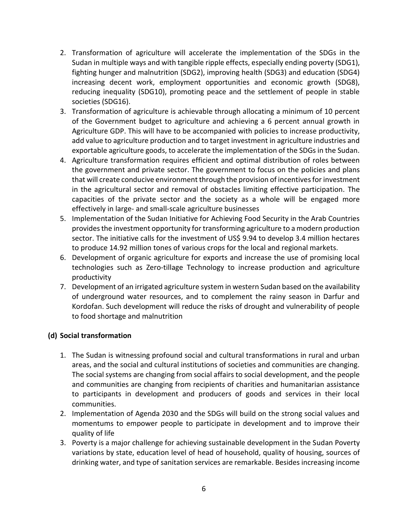- 2. Transformation of agriculture will accelerate the implementation of the SDGs in the Sudan in multiple ways and with tangible ripple effects, especially ending poverty (SDG1), fighting hunger and malnutrition (SDG2), improving health (SDG3) and education (SDG4) increasing decent work, employment opportunities and economic growth (SDG8), reducing inequality (SDG10), promoting peace and the settlement of people in stable societies (SDG16).
- 3. Transformation of agriculture is achievable through allocating a minimum of 10 percent of the Government budget to agriculture and achieving a 6 percent annual growth in Agriculture GDP. This will have to be accompanied with policies to increase productivity, add value to agriculture production and to target investment in agriculture industries and exportable agriculture goods, to accelerate the implementation of the SDGs in the Sudan.
- 4. Agriculture transformation requires efficient and optimal distribution of roles between the government and private sector. The government to focus on the policies and plans that will create conducive environment through the provision of incentivesfor investment in the agricultural sector and removal of obstacles limiting effective participation. The capacities of the private sector and the society as a whole will be engaged more effectively in large- and small-scale agriculture businesses
- 5. Implementation of the Sudan Initiative for Achieving Food Security in the Arab Countries provides the investment opportunity for transforming agriculture to a modern production sector. The initiative calls for the investment of US\$ 9.94 to develop 3.4 million hectares to produce 14.92 million tones of various crops for the local and regional markets.
- 6. Development of organic agriculture for exports and increase the use of promising local technologies such as Zero-tillage Technology to increase production and agriculture productivity
- 7. Development of an irrigated agriculture system in western Sudan based on the availability of underground water resources, and to complement the rainy season in Darfur and Kordofan. Such development will reduce the risks of drought and vulnerability of people to food shortage and malnutrition

#### **(d) Social transformation**

- 1. The Sudan is witnessing profound social and cultural transformations in rural and urban areas, and the social and cultural institutions of societies and communities are changing. The social systems are changing from social affairs to social development, and the people and communities are changing from recipients of charities and humanitarian assistance to participants in development and producers of goods and services in their local communities.
- 2. Implementation of Agenda 2030 and the SDGs will build on the strong social values and momentums to empower people to participate in development and to improve their quality of life
- 3. Poverty is a major challenge for achieving sustainable development in the Sudan Poverty variations by state, education level of head of household, quality of housing, sources of drinking water, and type of sanitation services are remarkable. Besides increasing income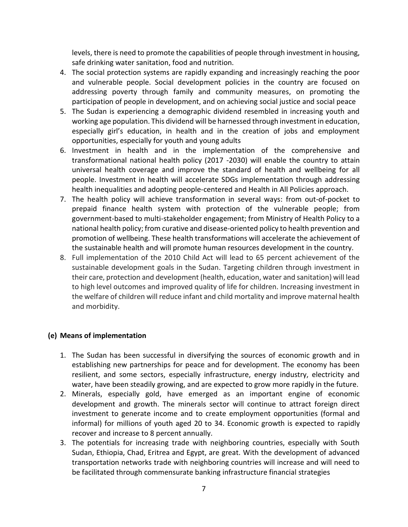levels, there is need to promote the capabilities of people through investment in housing, safe drinking water sanitation, food and nutrition.

- 4. The social protection systems are rapidly expanding and increasingly reaching the poor and vulnerable people. Social development policies in the country are focused on addressing poverty through family and community measures, on promoting the participation of people in development, and on achieving social justice and social peace
- 5. The Sudan is experiencing a demographic dividend resembled in increasing youth and working age population. This dividend will be harnessed through investment in education, especially girl's education, in health and in the creation of jobs and employment opportunities, especially for youth and young adults
- 6. Investment in health and in the implementation of the comprehensive and transformational national health policy (2017 -2030) will enable the country to attain universal health coverage and improve the standard of health and wellbeing for all people. Investment in health will accelerate SDGs implementation through addressing health inequalities and adopting people-centered and Health in All Policies approach.
- 7. The health policy will achieve transformation in several ways: from out-of-pocket to prepaid finance health system with protection of the vulnerable people; from government-based to multi-stakeholder engagement; from Ministry of Health Policy to a national health policy; from curative and disease-oriented policy to health prevention and promotion of wellbeing. These health transformations will accelerate the achievement of the sustainable health and will promote human resources development in the country.
- 8. Full implementation of the 2010 Child Act will lead to 65 percent achievement of the sustainable development goals in the Sudan. Targeting children through investment in their care, protection and development (health, education, water and sanitation) will lead to high level outcomes and improved quality of life for children. Increasing investment in the welfare of children will reduce infant and child mortality and improve maternal health and morbidity.

#### **(e) Means of implementation**

- 1. The Sudan has been successful in diversifying the sources of economic growth and in establishing new partnerships for peace and for development. The economy has been resilient, and some sectors, especially infrastructure, energy industry, electricity and water, have been steadily growing, and are expected to grow more rapidly in the future.
- 2. Minerals, especially gold, have emerged as an important engine of economic development and growth. The minerals sector will continue to attract foreign direct investment to generate income and to create employment opportunities (formal and informal) for millions of youth aged 20 to 34. Economic growth is expected to rapidly recover and increase to 8 percent annually.
- 3. The potentials for increasing trade with neighboring countries, especially with South Sudan, Ethiopia, Chad, Eritrea and Egypt, are great. With the development of advanced transportation networks trade with neighboring countries will increase and will need to be facilitated through commensurate banking infrastructure financial strategies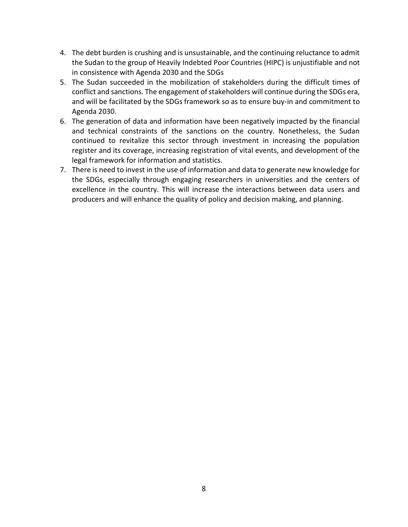- 4. The debt burden is crushing and is unsustainable, and the continuing reluctance to admit the Sudan to the group of Heavily Indebted Poor Countries (HIPC) is unjustifiable and not in consistence with Agenda 2030 and the SDGs
- 5. The Sudan succeeded in the mobilization of stakeholders during the difficult times of conflict and sanctions. The engagement of stakeholders will continue during the SDGs era, and will be facilitated by the SDGs framework so as to ensure buy-in and commitment to Agenda 2030.
- 6. The generation of data and information have been negatively impacted by the financial and technical constraints of the sanctions on the country. Nonetheless, the Sudan continued to revitalize this sector through investment in increasing the population register and its coverage, increasing registration of vital events, and development of the legal framework for information and statistics.
- 7. There is need to invest in the use of information and data to generate new knowledge for the SDGs, especially through engaging researchers in universities and the centers of excellence in the country. This will increase the interactions between data users and producers and will enhance the quality of policy and decision making, and planning.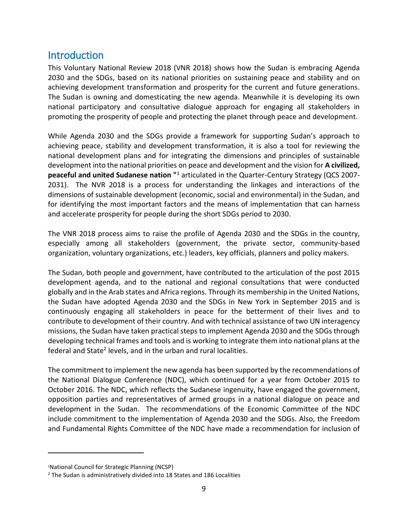# <span id="page-9-0"></span>**Introduction**

This Voluntary National Review 2018 (VNR 2018) shows how the Sudan is embracing Agenda 2030 and the SDGs, based on its national priorities on sustaining peace and stability and on achieving development transformation and prosperity for the current and future generations. The Sudan is owning and domesticating the new agenda. Meanwhile it is developing its own national participatory and consultative dialogue approach for engaging all stakeholders in promoting the prosperity of people and protecting the planet through peace and development.

While Agenda 2030 and the SDGs provide a framework for supporting Sudan's approach to achieving peace, stability and development transformation, it is also a tool for reviewing the national development plans and for integrating the dimensions and principles of sustainable development into the national priorities on peace and development and the vision for **A civilized, peaceful and united Sudanese nation "**<sup>1</sup> articulated in the Quarter-Century Strategy (QCS 2007- 2031). The NVR 2018 is a process for understanding the linkages and interactions of the dimensions of sustainable development (economic, social and environmental) in the Sudan, and for identifying the most important factors and the means of implementation that can harness and accelerate prosperity for people during the short SDGs period to 2030.

The VNR 2018 process aims to raise the profile of Agenda 2030 and the SDGs in the country, especially among all stakeholders (government, the private sector, community-based organization, voluntary organizations, etc.) leaders, key officials, planners and policy makers.

The Sudan, both people and government, have contributed to the articulation of the post 2015 development agenda, and to the national and regional consultations that were conducted globally and in the Arab states and Africa regions. Through its membership in the United Nations, the Sudan have adopted Agenda 2030 and the SDGs in New York in September 2015 and is continuously engaging all stakeholders in peace for the betterment of their lives and to contribute to development of their country. And with technical assistance of two UN interagency missions, the Sudan have taken practical steps to implement Agenda 2030 and the SDGs through developing technical frames and tools and is working to integrate them into national plans at the federal and State<sup>2</sup> levels, and in the urban and rural localities.

The commitment to implement the new agenda has been supported by the recommendations of the National Dialogue Conference (NDC), which continued for a year from October 2015 to October 2016. The NDC, which reflects the Sudanese ingenuity, have engaged the government, opposition parties and representatives of armed groups in a national dialogue on peace and development in the Sudan. The recommendations of the Economic Committee of the NDC include commitment to the implementation of Agenda 2030 and the SDGs. Also, the Freedom and Fundamental Rights Committee of the NDC have made a recommendation for inclusion of

 $\overline{a}$ 

<sup>1</sup>National Council for Strategic Planning (NCSP)

<sup>&</sup>lt;sup>2</sup> The Sudan is administratively divided into 18 States and 186 Localities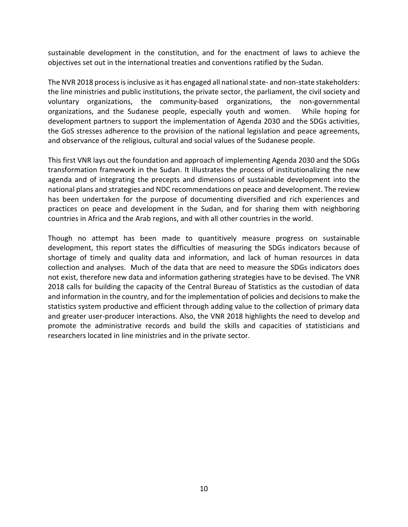sustainable development in the constitution, and for the enactment of laws to achieve the objectives set out in the international treaties and conventions ratified by the Sudan.

The NVR 2018 process isinclusive as it has engaged all national state- and non-state stakeholders: the line ministries and public institutions, the private sector, the parliament, the civil society and voluntary organizations, the community-based organizations, the non-governmental organizations, and the Sudanese people, especially youth and women. While hoping for development partners to support the implementation of Agenda 2030 and the SDGs activities, the GoS stresses adherence to the provision of the national legislation and peace agreements, and observance of the religious, cultural and social values of the Sudanese people.

This first VNR lays out the foundation and approach of implementing Agenda 2030 and the SDGs transformation framework in the Sudan. It illustrates the process of institutionalizing the new agenda and of integrating the precepts and dimensions of sustainable development into the national plans and strategies and NDC recommendations on peace and development. The review has been undertaken for the purpose of documenting diversified and rich experiences and practices on peace and development in the Sudan, and for sharing them with neighboring countries in Africa and the Arab regions, and with all other countries in the world.

Though no attempt has been made to quantitively measure progress on sustainable development, this report states the difficulties of measuring the SDGs indicators because of shortage of timely and quality data and information, and lack of human resources in data collection and analyses. Much of the data that are need to measure the SDGs indicators does not exist, therefore new data and information gathering strategies have to be devised. The VNR 2018 calls for building the capacity of the Central Bureau of Statistics as the custodian of data and information in the country, and for the implementation of policies and decisions to make the statistics system productive and efficient through adding value to the collection of primary data and greater user-producer interactions. Also, the VNR 2018 highlights the need to develop and promote the administrative records and build the skills and capacities of statisticians and researchers located in line ministries and in the private sector.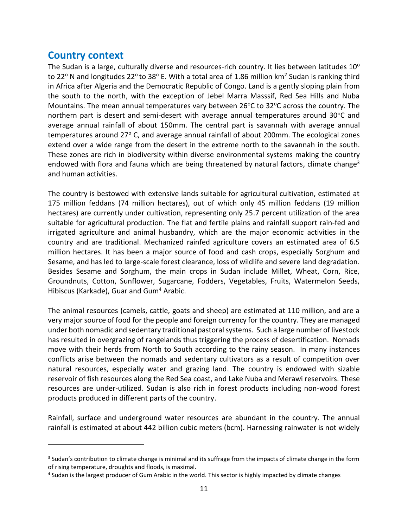## <span id="page-11-0"></span>**Country context**

 $\overline{a}$ 

The Sudan is a large, culturally diverse and resources-rich country. It lies between latitudes  $10^{\circ}$ to 22 $\degree$  N and longitudes 22 $\degree$  to 38 $\degree$  E. With a total area of 1.86 million km<sup>2</sup> Sudan is ranking third in Africa after Algeria and the Democratic Republic of Congo. Land is a gently sloping plain from the south to the north, with the exception of Jebel Marra Masssif, Red Sea Hills and Nuba Mountains. The mean annual temperatures vary between 26 $\degree$ C to 32 $\degree$ C across the country. The northern part is desert and semi-desert with average annual temperatures around  $30^{\circ}$ C and average annual rainfall of about 150mm. The central part is savannah with average annual temperatures around 27° C, and average annual rainfall of about 200mm. The ecological zones extend over a wide range from the desert in the extreme north to the savannah in the south. These zones are rich in biodiversity within diverse environmental systems making the country endowed with flora and fauna which are being threatened by natural factors, climate change<sup>3</sup> and human activities.

The country is bestowed with extensive lands suitable for agricultural cultivation, estimated at 175 million feddans (74 million hectares), out of which only 45 million feddans (19 million hectares) are currently under cultivation, representing only 25.7 percent utilization of the area suitable for agricultural production. The flat and fertile plains and rainfall support rain-fed and irrigated agriculture and animal husbandry, which are the major economic activities in the country and are traditional. Mechanized rainfed agriculture covers an estimated area of 6.5 million hectares. It has been a major source of food and cash crops, especially Sorghum and Sesame, and has led to large-scale forest clearance, loss of wildlife and severe land degradation. Besides Sesame and Sorghum, the main crops in Sudan include Millet, Wheat, Corn, Rice, Groundnuts, Cotton, Sunflower, Sugarcane, Fodders, Vegetables, Fruits, Watermelon Seeds, Hibiscus (Karkade), Guar and Gum<sup>4</sup> Arabic.

The animal resources (camels, cattle, goats and sheep) are estimated at 110 million, and are a very major source of food for the people and foreign currency for the country. They are managed under both nomadic and sedentary traditional pastoral systems. Such a large number of livestock has resulted in overgrazing of rangelands thus triggering the process of desertification. Nomads move with their herds from North to South according to the rainy season. In many instances conflicts arise between the nomads and sedentary cultivators as a result of competition over natural resources, especially water and grazing land. The country is endowed with sizable reservoir of fish resources along the Red Sea coast, and Lake Nuba and Merawi reservoirs. These resources are under-utilized. Sudan is also rich in forest products including non-wood forest products produced in different parts of the country.

Rainfall, surface and underground water resources are abundant in the country. The annual rainfall is estimated at about 442 billion cubic meters (bcm). Harnessing rainwater is not widely

<sup>&</sup>lt;sup>3</sup> Sudan's contribution to climate change is minimal and its suffrage from the impacts of climate change in the form of rising temperature, droughts and floods, is maximal.

<sup>&</sup>lt;sup>4</sup> Sudan is the largest producer of Gum Arabic in the world. This sector is highly impacted by climate changes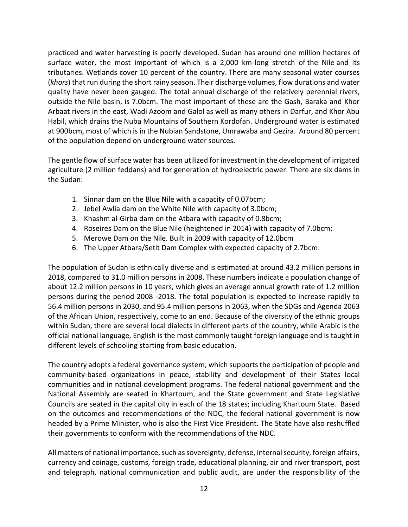practiced and water harvesting is poorly developed. Sudan has around one million hectares of surface water, the most important of which is a 2,000 km-long stretch of [the Nile](http://water.fanack.com/sudan/shared-water-resources/) and its tributaries. Wetlands cover 10 percent of the country. There are many seasonal water courses (*khors*) that run during the short rainy season. Their discharge volumes, flow durations and water quality have never been gauged. The total annual discharge of the relatively perennial rivers, outside the Nile basin, is 7.0bcm. The most important of these are the Gash, Baraka and Khor Arbaat rivers in the east, Wadi Azoom and Galol as well as many others in Darfur, and Khor Abu Habil, which drains the Nuba Mountains of Southern Kordofan. Underground water is estimated at 900bcm, most of which is in the Nubian Sandstone, Umrawaba and Gezira. Around 80 percent of the population depend on underground water sources.

The gentle flow of surface water has been utilized for investment in the development of irrigated agriculture (2 million feddans) and for generation of hydroelectric power. There are six dams in the Sudan:

- 1. Sinnar dam on the Blue Nile with a capacity of 0.07bcm;
- 2. Jebel Awlia dam on the White Nile with capacity of 3.0bcm;
- 3. Khashm al-Girba dam on the Atbara with capacity of 0.8bcm;
- 4. Roseires Dam on the Blue Nile (heightened in 2014) with capacity of 7.0bcm;
- 5. Merowe Dam on the Nile. Built in 2009 with capacity of 12.0bcm
- 6. The Upper Atbara/Setit Dam Complex with expected capacity of 2.7bcm.

The population of Sudan is ethnically diverse and is estimated at around 43.2 million persons in 2018, compared to 31.0 million persons in 2008. These numbers indicate a population change of about 12.2 million persons in 10 years, which gives an average annual growth rate of 1.2 million persons during the period 2008 -2018. The total population is expected to increase rapidly to 56.4 million persons in 2030, and 95.4 million persons in 2063, when the SDGs and Agenda 2063 of the African Union, respectively, come to an end. Because of the diversity of the ethnic groups within Sudan, there are several local dialects in different parts of the country, while Arabic is the official national language, English is the most commonly taught foreign language and is taught in different levels of schooling starting from basic education.

The country adopts a federal governance system, which supports the participation of people and community-based organizations in peace, stability and development of their States local communities and in national development programs. The federal national government and the National Assembly are seated in Khartoum, and the State government and State Legislative Councils are seated in the capital city in each of the 18 states; including Khartoum State. Based on the outcomes and recommendations of the NDC, the federal national government is now headed by a Prime Minister, who is also the First Vice President. The State have also reshuffled their governments to conform with the recommendations of the NDC.

All matters of national importance, such as sovereignty, defense, internal security, foreign affairs, currency and coinage, customs, foreign trade, educational planning, air and river transport, post and telegraph, national communication and public audit, are under the responsibility of the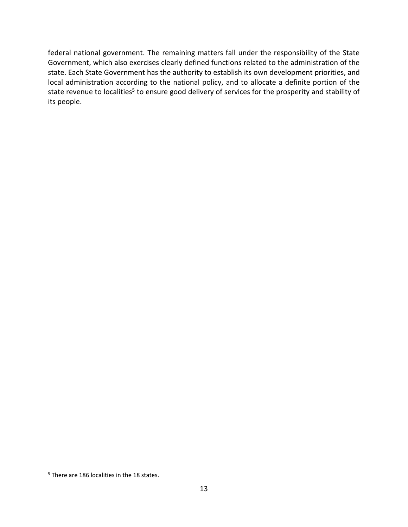federal national government. The remaining matters fall under the responsibility of the State Government, which also exercises clearly defined functions related to the administration of the state. Each State Government has the authority to establish its own development priorities, and local administration according to the national policy, and to allocate a definite portion of the state revenue to localities<sup>5</sup> to ensure good delivery of services for the prosperity and stability of its people.

 $\overline{a}$ 

<sup>5</sup> There are 186 localities in the 18 states.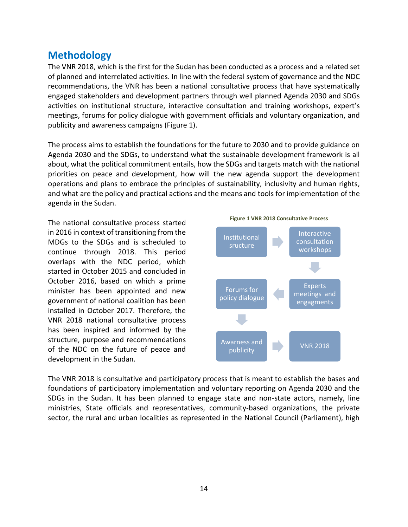# <span id="page-14-0"></span>**Methodology**

The VNR 2018, which is the first for the Sudan has been conducted as a process and a related set of planned and interrelated activities. In line with the federal system of governance and the NDC recommendations, the VNR has been a national consultative process that have systematically engaged stakeholders and development partners through well planned Agenda 2030 and SDGs activities on institutional structure, interactive consultation and training workshops, expert's meetings, forums for policy dialogue with government officials and voluntary organization, and publicity and awareness campaigns (Figure 1).

The process aims to establish the foundations for the future to 2030 and to provide guidance on Agenda 2030 and the SDGs, to understand what the sustainable development framework is all about, what the political commitment entails, how the SDGs and targets match with the national priorities on peace and development, how will the new agenda support the development operations and plans to embrace the principles of sustainability, inclusivity and human rights, and what are the policy and practical actions and the means and tools for implementation of the agenda in the Sudan.

The national consultative process started in 2016 in context of transitioning from the MDGs to the SDGs and is scheduled to continue through 2018. This period overlaps with the NDC period, which started in October 2015 and concluded in October 2016, based on which a prime minister has been appointed and new government of national coalition has been installed in October 2017. Therefore, the VNR 2018 national consultative process has been inspired and informed by the structure, purpose and recommendations of the NDC on the future of peace and development in the Sudan.



The VNR 2018 is consultative and participatory process that is meant to establish the bases and foundations of participatory implementation and voluntary reporting on Agenda 2030 and the SDGs in the Sudan. It has been planned to engage state and non-state actors, namely, line ministries, State officials and representatives, community-based organizations, the private sector, the rural and urban localities as represented in the National Council (Parliament), high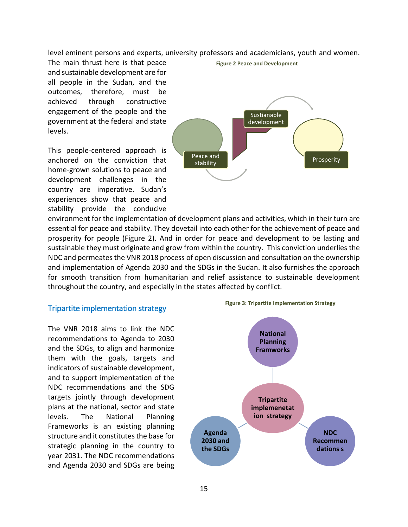level eminent persons and experts, university professors and academicians, youth and women.

The main thrust here is that peace and sustainable development are for all people in the Sudan, and the outcomes, therefore, must be achieved through constructive engagement of the people and the government at the federal and state levels.

This people-centered approach is anchored on the conviction that home-grown solutions to peace and development challenges in the country are imperative. Sudan's experiences show that peace and stability provide the conducive



**Figure 2 Peace and Development**

environment for the implementation of development plans and activities, which in their turn are essential for peace and stability. They dovetail into each other for the achievement of peace and prosperity for people (Figure 2). And in order for peace and development to be lasting and sustainable they must originate and grow from within the country. This conviction underlies the NDC and permeates the VNR 2018 process of open discussion and consultation on the ownership and implementation of Agenda 2030 and the SDGs in the Sudan. It also furnishes the approach for smooth transition from humanitarian and relief assistance to sustainable development throughout the country, and especially in the states affected by conflict.

#### <span id="page-15-0"></span>Tripartite implementation strategy

The VNR 2018 aims to link the NDC recommendations to Agenda to 2030 and the SDGs, to align and harmonize them with the goals, targets and indicators of sustainable development, and to support implementation of the NDC recommendations and the SDG targets jointly through development plans at the national, sector and state levels. The National Planning Frameworks is an existing planning structure and it constitutes the base for strategic planning in the country to year 2031. The NDC recommendations and Agenda 2030 and SDGs are being



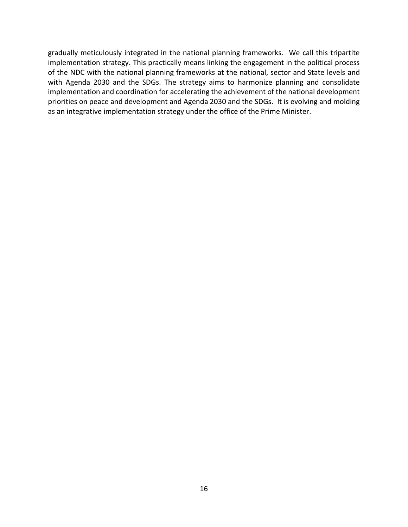gradually meticulously integrated in the national planning frameworks. We call this tripartite implementation strategy. This practically means linking the engagement in the political process of the NDC with the national planning frameworks at the national, sector and State levels and with Agenda 2030 and the SDGs. The strategy aims to harmonize planning and consolidate implementation and coordination for accelerating the achievement of the national development priorities on peace and development and Agenda 2030 and the SDGs. It is evolving and molding as an integrative implementation strategy under the office of the Prime Minister.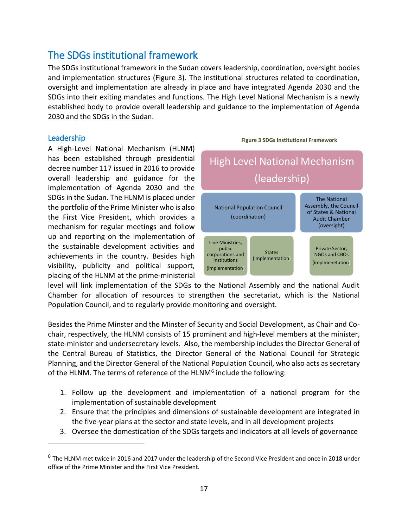# <span id="page-17-0"></span>The SDGs institutional framework

The SDGs institutional framework in the Sudan covers leadership, coordination, oversight bodies and implementation structures (Figure 3). The institutional structures related to coordination, oversight and implementation are already in place and have integrated Agenda 2030 and the SDGs into their exiting mandates and functions. The High Level National Mechanism is a newly established body to provide overall leadership and guidance to the implementation of Agenda 2030 and the SDGs in the Sudan.

#### <span id="page-17-1"></span>Leadership

 $\overline{a}$ 

A High-Level National Mechanism (HLNM) has been established through presidential decree number 117 issued in 2016 to provide overall leadership and guidance for the implementation of Agenda 2030 and the SDGs in the Sudan. The HLNM is placed under the portfolio of the Prime Minister who is also the First Vice President, which provides a mechanism for regular meetings and follow up and reporting on the implementation of the sustainable development activities and achievements in the country. Besides high visibility, publicity and political support, placing of the HLNM at the prime-ministerial



**Figure 3 SDGs Institutional Framework**

level will link implementation of the SDGs to the National Assembly and the national Audit Chamber for allocation of resources to strengthen the secretariat, which is the National Population Council, and to regularly provide monitoring and oversight.

Besides the Prime Minster and the Minster of Security and Social Development, as Chair and Cochair, respectively, the HLNM consists of 15 prominent and high-level members at the minister, state-minister and undersecretary levels. Also, the membership includes the Director General of the Central Bureau of Statistics, the Director General of the National Council for Strategic Planning, and the Director General of the National Population Council, who also acts as secretary of the HLNM. The terms of reference of the HLNM<sup>6</sup> include the following:

- 1. Follow up the development and implementation of a national program for the implementation of sustainable development
- 2. Ensure that the principles and dimensions of sustainable development are integrated in the five-year plans at the sector and state levels, and in all development projects
- 3. Oversee the domestication of the SDGs targets and indicators at all levels of governance

<sup>&</sup>lt;sup>6</sup> The HLNM met twice in 2016 and 2017 under the leadership of the Second Vice President and once in 2018 under office of the Prime Minister and the First Vice President.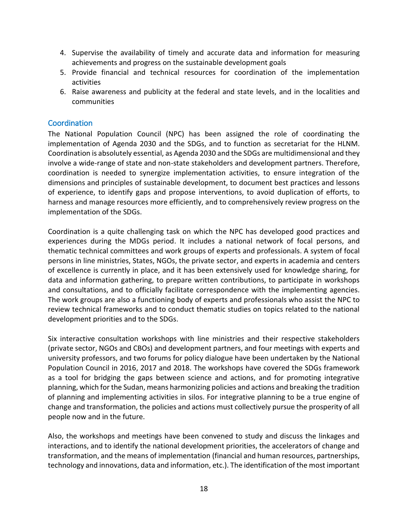- 4. Supervise the availability of timely and accurate data and information for measuring achievements and progress on the sustainable development goals
- 5. Provide financial and technical resources for coordination of the implementation activities
- 6. Raise awareness and publicity at the federal and state levels, and in the localities and communities

#### <span id="page-18-0"></span>**Coordination**

The National Population Council (NPC) has been assigned the role of coordinating the implementation of Agenda 2030 and the SDGs, and to function as secretariat for the HLNM. Coordination is absolutely essential, as Agenda 2030 and the SDGs are multidimensional and they involve a wide-range of state and non-state stakeholders and development partners. Therefore, coordination is needed to synergize implementation activities, to ensure integration of the dimensions and principles of sustainable development, to document best practices and lessons of experience, to identify gaps and propose interventions, to avoid duplication of efforts, to harness and manage resources more efficiently, and to comprehensively review progress on the implementation of the SDGs.

Coordination is a quite challenging task on which the NPC has developed good practices and experiences during the MDGs period. It includes a national network of focal persons, and thematic technical committees and work groups of experts and professionals. A system of focal persons in line ministries, States, NGOs, the private sector, and experts in academia and centers of excellence is currently in place, and it has been extensively used for knowledge sharing, for data and information gathering, to prepare written contributions, to participate in workshops and consultations, and to officially facilitate correspondence with the implementing agencies. The work groups are also a functioning body of experts and professionals who assist the NPC to review technical frameworks and to conduct thematic studies on topics related to the national development priorities and to the SDGs.

Six interactive consultation workshops with line ministries and their respective stakeholders (private sector, NGOs and CBOs) and development partners, and four meetings with experts and university professors, and two forums for policy dialogue have been undertaken by the National Population Council in 2016, 2017 and 2018. The workshops have covered the SDGs framework as a tool for bridging the gaps between science and actions, and for promoting integrative planning, which for the Sudan, means harmonizing policies and actions and breaking the tradition of planning and implementing activities in silos. For integrative planning to be a true engine of change and transformation, the policies and actions must collectively pursue the prosperity of all people now and in the future.

Also, the workshops and meetings have been convened to study and discuss the linkages and interactions, and to identify the national development priorities, the accelerators of change and transformation, and the means of implementation (financial and human resources, partnerships, technology and innovations, data and information, etc.). The identification of the most important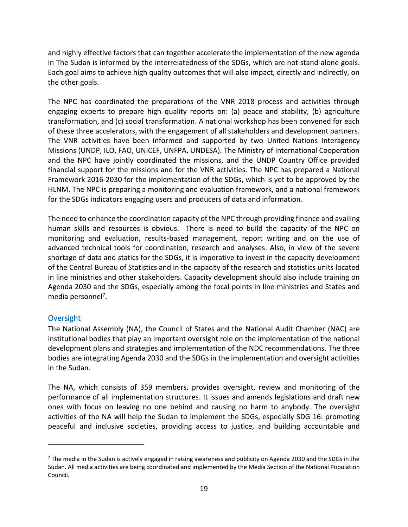and highly effective factors that can together accelerate the implementation of the new agenda in The Sudan is informed by the interrelatedness of the SDGs, which are not stand-alone goals. Each goal aims to achieve high quality outcomes that will also impact, directly and indirectly, on the other goals.

The NPC has coordinated the preparations of the VNR 2018 process and activities through engaging experts to prepare high quality reports on: (a) peace and stability, (b) agriculture transformation, and (c) social transformation. A national workshop has been convened for each of these three accelerators, with the engagement of all stakeholders and development partners. The VNR activities have been informed and supported by two United Nations Interagency Missions (UNDP, ILO, FAO, UNICEF, UNFPA, UNDESA). The Ministry of International Cooperation and the NPC have jointly coordinated the missions, and the UNDP Country Office provided financial support for the missions and for the VNR activities. The NPC has prepared a National Framework 2016-2030 for the implementation of the SDGs, which is yet to be approved by the HLNM. The NPC is preparing a monitoring and evaluation framework, and a national framework for the SDGs indicators engaging users and producers of data and information.

The need to enhance the coordination capacity of the NPC through providing finance and availing human skills and resources is obvious. There is need to build the capacity of the NPC on monitoring and evaluation, results-based management, report writing and on the use of advanced technical tools for coordination, research and analyses. Also, in view of the severe shortage of data and statics for the SDGs, it is imperative to invest in the capacity development of the Central Bureau of Statistics and in the capacity of the research and statistics units located in line ministries and other stakeholders. Capacity development should also include training on Agenda 2030 and the SDGs, especially among the focal points in line ministries and States and media personnel<sup>7</sup>.

#### <span id="page-19-0"></span>**Oversight**

 $\overline{a}$ 

The National Assembly (NA), the Council of States and the National Audit Chamber (NAC) are institutional bodies that play an important oversight role on the implementation of the national development plans and strategies and implementation of the NDC recommendations. The three bodies are integrating Agenda 2030 and the SDGs in the implementation and oversight activities in the Sudan.

The NA, which consists of 359 members, provides oversight, review and monitoring of the performance of all implementation structures. It issues and amends legislations and draft new ones with focus on leaving no one behind and causing no harm to anybody. The oversight activities of the NA will help the Sudan to implement the SDGs, especially SDG 16: promoting peaceful and inclusive societies, providing access to justice, and building accountable and

 $<sup>7</sup>$  The media in the Sudan is actively engaged in raising awareness and publicity on Agenda 2030 and the SDGs in the</sup> Sudan. All media activities are being coordinated and implemented by the Media Section of the National Population Council.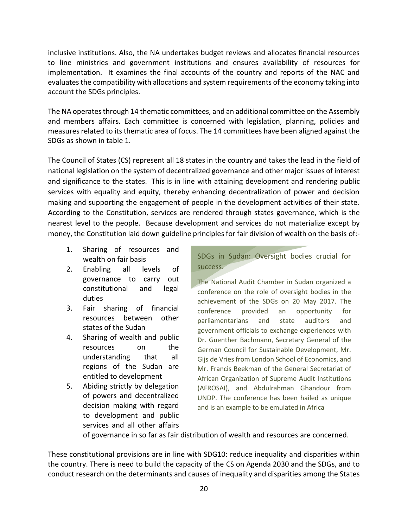inclusive institutions. Also, the NA undertakes budget reviews and allocates financial resources to line ministries and government institutions and ensures availability of resources for implementation. It examines the final accounts of the country and reports of the NAC and evaluates the compatibility with allocations and system requirements of the economy taking into account the SDGs principles.

The NA operates through 14 thematic committees, and an additional committee on the Assembly and members affairs. Each committee is concerned with legislation, planning, policies and measures related to its thematic area of focus. The 14 committees have been aligned against the SDGs as shown in table 1.

The Council of States (CS) represent all 18 states in the country and takes the lead in the field of national legislation on the system of decentralized governance and other major issues of interest and significance to the states. This is in line with attaining development and rendering public services with equality and equity, thereby enhancing decentralization of power and decision making and supporting the engagement of people in the development activities of their state. According to the Constitution, services are rendered through states governance, which is the nearest level to the people. Because development and services do not materialize except by money, the Constitution laid down guideline principles for fair division of wealth on the basis of:-

- 1. Sharing of resources and wealth on fair basis
- 2. Enabling all levels of governance to carry out constitutional and legal duties
- 3. Fair sharing of financial resources between other states of the Sudan
- 4. Sharing of wealth and public resources on the understanding that all regions of the Sudan are entitled to development
- 5. Abiding strictly by delegation of powers and decentralized decision making with regard to development and public services and all other affairs

SDGs in Sudan: Oversight bodies crucial for success.

The National Audit Chamber in Sudan organized a conference on the role of oversight bodies in the achievement of the SDGs on 20 May 2017. The conference provided an opportunity for parliamentarians and state auditors and government officials to exchange experiences with Dr. Guenther Bachmann, Secretary General of the German Council for Sustainable Development, Mr. Gijs de Vries from London School of Economics, and Mr. Francis Beekman of the General Secretariat of African Organization of Supreme Audit Institutions (AFROSAI), and Abdulrahman Ghandour from UNDP. The conference has been hailed as unique and is an example to be emulated in Africa

of governance in so far as fair distribution of wealth and resources are concerned.

These constitutional provisions are in line with SDG10: reduce inequality and disparities within the country. There is need to build the capacity of the CS on Agenda 2030 and the SDGs, and to conduct research on the determinants and causes of inequality and disparities among the States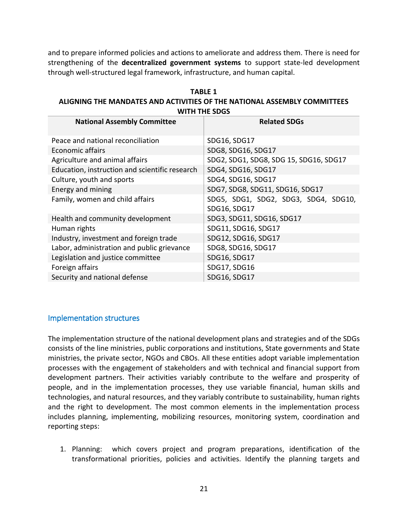and to prepare informed policies and actions to ameliorate and address them. There is need for strengthening of the **decentralized government systems** to support state-led development through well-structured legal framework, infrastructure, and human capital.

| <b>TABLE 1</b>                                                           |
|--------------------------------------------------------------------------|
| ALIGNING THE MANDATES AND ACTIVITIES OF THE NATIONAL ASSEMBLY COMMITTEES |
| WITH THE SDGS                                                            |

| <b>National Assembly Committee</b>             | <b>Related SDGs</b>                    |
|------------------------------------------------|----------------------------------------|
| Peace and national reconciliation              | SDG16, SDG17                           |
| Economic affairs                               | SDG8, SDG16, SDG17                     |
| Agriculture and animal affairs                 | SDG2, SDG1, SDG8, SDG 15, SDG16, SDG17 |
| Education, instruction and scientific research | SDG4, SDG16, SDG17                     |
| Culture, youth and sports                      | SDG4, SDG16, SDG17                     |
| Energy and mining                              | SDG7, SDG8, SDG11, SDG16, SDG17        |
| Family, women and child affairs                | SDG5, SDG1, SDG2, SDG3, SDG4, SDG10,   |
|                                                | SDG16, SDG17                           |
| Health and community development               | SDG3, SDG11, SDG16, SDG17              |
| Human rights                                   | SDG11, SDG16, SDG17                    |
| Industry, investment and foreign trade         | SDG12, SDG16, SDG17                    |
| Labor, administration and public grievance     | SDG8, SDG16, SDG17                     |
| Legislation and justice committee              | SDG16, SDG17                           |
| Foreign affairs                                | SDG17, SDG16                           |
| Security and national defense                  | SDG16, SDG17                           |

#### <span id="page-21-0"></span>Implementation structures

The implementation structure of the national development plans and strategies and of the SDGs consists of the line ministries, public corporations and institutions, State governments and State ministries, the private sector, NGOs and CBOs. All these entities adopt variable implementation processes with the engagement of stakeholders and with technical and financial support from development partners. Their activities variably contribute to the welfare and prosperity of people, and in the implementation processes, they use variable financial, human skills and technologies, and natural resources, and they variably contribute to sustainability, human rights and the right to development. The most common elements in the implementation process includes planning, implementing, mobilizing resources, monitoring system, coordination and reporting steps:

1. Planning: which covers project and program preparations, identification of the transformational priorities, policies and activities. Identify the planning targets and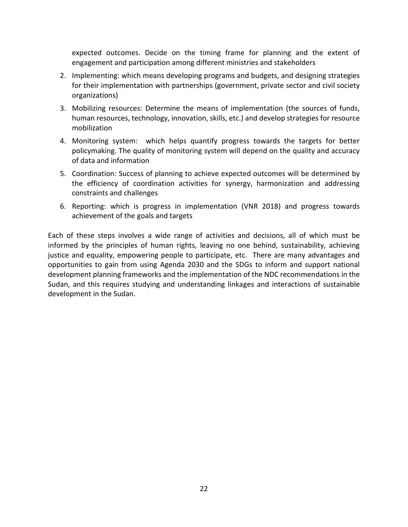expected outcomes. Decide on the timing frame for planning and the extent of engagement and participation among different ministries and stakeholders

- 2. Implementing: which means developing programs and budgets, and designing strategies for their implementation with partnerships (government, private sector and civil society organizations)
- 3. Mobilizing resources: Determine the means of implementation (the sources of funds, human resources, technology, innovation, skills, etc.) and develop strategies for resource mobilization
- 4. Monitoring system: which helps quantify progress towards the targets for better policymaking. The quality of monitoring system will depend on the quality and accuracy of data and information
- 5. Coordination: Success of planning to achieve expected outcomes will be determined by the efficiency of coordination activities for synergy, harmonization and addressing constraints and challenges
- 6. Reporting: which is progress in implementation (VNR 2018) and progress towards achievement of the goals and targets

Each of these steps involves a wide range of activities and decisions, all of which must be informed by the principles of human rights, leaving no one behind, sustainability, achieving justice and equality, empowering people to participate, etc. There are many advantages and opportunities to gain from using Agenda 2030 and the SDGs to inform and support national development planning frameworks and the implementation of the NDC recommendations in the Sudan, and this requires studying and understanding linkages and interactions of sustainable development in the Sudan.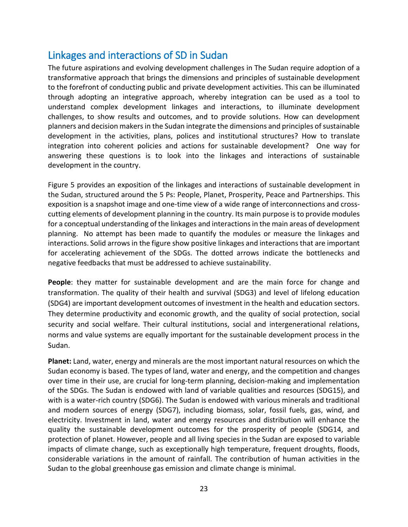# <span id="page-23-0"></span>Linkages and interactions of SD in Sudan

The future aspirations and evolving development challenges in The Sudan require adoption of a transformative approach that brings the dimensions and principles of sustainable development to the forefront of conducting public and private development activities. This can be illuminated through adopting an integrative approach, whereby integration can be used as a tool to understand complex development linkages and interactions, to illuminate development challenges, to show results and outcomes, and to provide solutions. How can development planners and decision makers in the Sudan integrate the dimensions and principles of sustainable development in the activities, plans, polices and institutional structures? How to translate integration into coherent policies and actions for sustainable development? One way for answering these questions is to look into the linkages and interactions of sustainable development in the country.

Figure 5 provides an exposition of the linkages and interactions of sustainable development in the Sudan, structured around the 5 Ps: People, Planet, Prosperity, Peace and Partnerships. This exposition is a snapshot image and one-time view of a wide range of interconnections and crosscutting elements of development planning in the country. Its main purpose is to provide modules for a conceptual understanding of the linkages and interactions in the main areas of development planning. No attempt has been made to quantify the modules or measure the linkages and interactions. Solid arrows in the figure show positive linkages and interactions that are important for accelerating achievement of the SDGs. The dotted arrows indicate the bottlenecks and negative feedbacks that must be addressed to achieve sustainability.

**People**: they matter for sustainable development and are the main force for change and transformation. The quality of their health and survival (SDG3) and level of lifelong education (SDG4) are important development outcomes of investment in the health and education sectors. They determine productivity and economic growth, and the quality of social protection, social security and social welfare. Their cultural institutions, social and intergenerational relations, norms and value systems are equally important for the sustainable development process in the Sudan.

**Planet:** Land, water, energy and minerals are the most important natural resources on which the Sudan economy is based. The types of land, water and energy, and the competition and changes over time in their use, are crucial for long-term planning, decision-making and implementation of the SDGs. The Sudan is endowed with land of variable qualities and resources (SDG15), and with is a water-rich country (SDG6). The Sudan is endowed with various minerals and traditional and modern sources of energy (SDG7), including biomass, solar, fossil fuels, gas, wind, and electricity. Investment in land, water and energy resources and distribution will enhance the quality the sustainable development outcomes for the prosperity of people (SDG14, and protection of planet. However, people and all living species in the Sudan are exposed to variable impacts of climate change, such as exceptionally high temperature, frequent droughts, floods, considerable variations in the amount of rainfall. The contribution of human activities in the Sudan to the global greenhouse gas emission and climate change is minimal.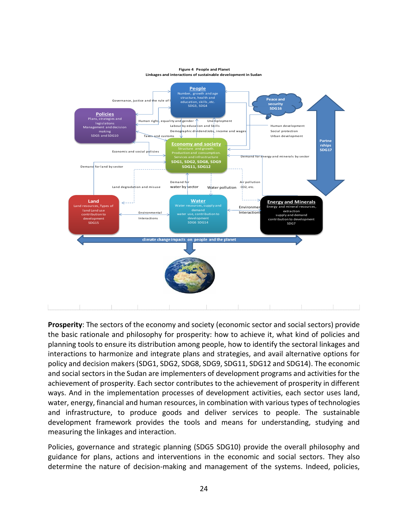

**Prosperity**: The sectors of the economy and society (economic sector and social sectors) provide the basic rationale and philosophy for prosperity: how to achieve it, what kind of policies and planning tools to ensure its distribution among people, how to identify the sectoral linkages and interactions to harmonize and integrate plans and strategies, and avail alternative options for policy and decision makers (SDG1, SDG2, SDG8, SDG9, SDG11, SDG12 and SDG14). The economic and social sectors in the Sudan are implementers of development programs and activities for the achievement of prosperity. Each sector contributes to the achievement of prosperity in different ways. And in the implementation processes of development activities, each sector uses land, water, energy, financial and human resources, in combination with various types of technologies and infrastructure, to produce goods and deliver services to people. The sustainable development framework provides the tools and means for understanding, studying and measuring the linkages and interaction.

Policies, governance and strategic planning (SDG5 SDG10) provide the overall philosophy and guidance for plans, actions and interventions in the economic and social sectors. They also determine the nature of decision-making and management of the systems. Indeed, policies,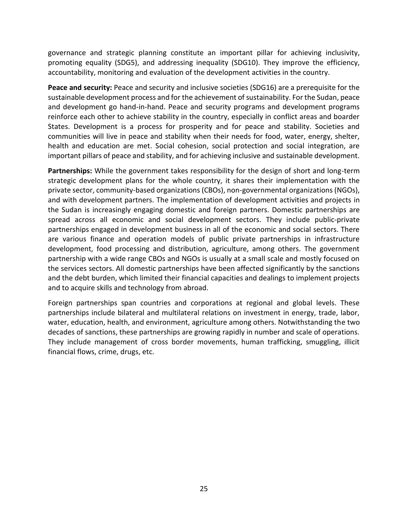governance and strategic planning constitute an important pillar for achieving inclusivity, promoting equality (SDG5), and addressing inequality (SDG10). They improve the efficiency, accountability, monitoring and evaluation of the development activities in the country.

**Peace and security:** Peace and security and inclusive societies (SDG16) are a prerequisite for the sustainable development process and for the achievement of sustainability. For the Sudan, peace and development go hand-in-hand. Peace and security programs and development programs reinforce each other to achieve stability in the country, especially in conflict areas and boarder States. Development is a process for prosperity and for peace and stability. Societies and communities will live in peace and stability when their needs for food, water, energy, shelter, health and education are met. Social cohesion, social protection and social integration, are important pillars of peace and stability, and for achieving inclusive and sustainable development.

**Partnerships:** While the government takes responsibility for the design of short and long-term strategic development plans for the whole country, it shares their implementation with the private sector, community-based organizations (CBOs), non-governmental organizations (NGOs), and with development partners. The implementation of development activities and projects in the Sudan is increasingly engaging domestic and foreign partners. Domestic partnerships are spread across all economic and social development sectors. They include public-private partnerships engaged in development business in all of the economic and social sectors. There are various finance and operation models of public private partnerships in infrastructure development, food processing and distribution, agriculture, among others. The government partnership with a wide range CBOs and NGOs is usually at a small scale and mostly focused on the services sectors. All domestic partnerships have been affected significantly by the sanctions and the debt burden, which limited their financial capacities and dealings to implement projects and to acquire skills and technology from abroad.

Foreign partnerships span countries and corporations at regional and global levels. These partnerships include bilateral and multilateral relations on investment in energy, trade, labor, water, education, health, and environment, agriculture among others. Notwithstanding the two decades of sanctions, these partnerships are growing rapidly in number and scale of operations. They include management of cross border movements, human trafficking, smuggling, illicit financial flows, crime, drugs, etc.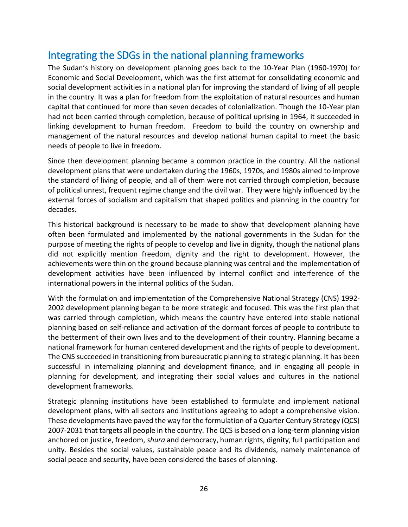# <span id="page-26-0"></span>Integrating the SDGs in the national planning frameworks

The Sudan's history on development planning goes back to the 10-Year Plan (1960-1970) for Economic and Social Development, which was the first attempt for consolidating economic and social development activities in a national plan for improving the standard of living of all people in the country. It was a plan for freedom from the exploitation of natural resources and human capital that continued for more than seven decades of colonialization. Though the 10-Year plan had not been carried through completion, because of political uprising in 1964, it succeeded in linking development to human freedom. Freedom to build the country on ownership and management of the natural resources and develop national human capital to meet the basic needs of people to live in freedom.

Since then development planning became a common practice in the country. All the national development plans that were undertaken during the 1960s, 1970s, and 1980s aimed to improve the standard of living of people, and all of them were not carried through completion, because of political unrest, frequent regime change and the civil war. They were highly influenced by the external forces of socialism and capitalism that shaped politics and planning in the country for decades.

This historical background is necessary to be made to show that development planning have often been formulated and implemented by the national governments in the Sudan for the purpose of meeting the rights of people to develop and live in dignity, though the national plans did not explicitly mention freedom, dignity and the right to development. However, the achievements were thin on the ground because planning was central and the implementation of development activities have been influenced by internal conflict and interference of the international powers in the internal politics of the Sudan.

With the formulation and implementation of the Comprehensive National Strategy (CNS) 1992- 2002 development planning began to be more strategic and focused. This was the first plan that was carried through completion, which means the country have entered into stable national planning based on self-reliance and activation of the dormant forces of people to contribute to the betterment of their own lives and to the development of their country. Planning became a national framework for human centered development and the rights of people to development. The CNS succeeded in transitioning from bureaucratic planning to strategic planning. It has been successful in internalizing planning and development finance, and in engaging all people in planning for development, and integrating their social values and cultures in the national development frameworks.

Strategic planning institutions have been established to formulate and implement national development plans, with all sectors and institutions agreeing to adopt a comprehensive vision. These developments have paved the way for the formulation of a Quarter Century Strategy (QCS) 2007-2031 that targets all people in the country. The QCS is based on a long-term planning vision anchored on justice, freedom, *shura* and democracy, human rights, dignity, full participation and unity. Besides the social values, sustainable peace and its dividends, namely maintenance of social peace and security, have been considered the bases of planning.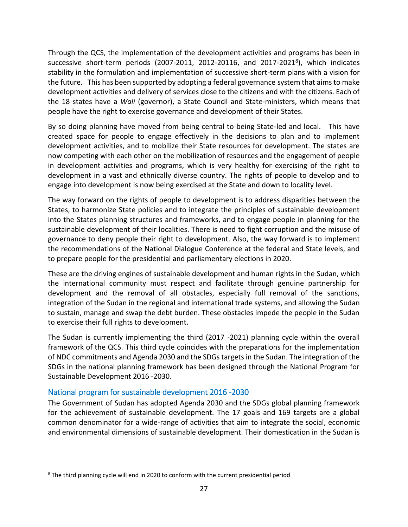Through the QCS, the implementation of the development activities and programs has been in successive short-term periods (2007-2011, 2012-20116, and 2017-2021<sup>8</sup> ), which indicates stability in the formulation and implementation of successive short-term plans with a vision for the future. This has been supported by adopting a federal governance system that aims to make development activities and delivery of services close to the citizens and with the citizens. Each of the 18 states have a *Wali* (governor), a State Council and State-ministers, which means that people have the right to exercise governance and development of their States.

By so doing planning have moved from being central to being State-led and local. This have created space for people to engage effectively in the decisions to plan and to implement development activities, and to mobilize their State resources for development. The states are now competing with each other on the mobilization of resources and the engagement of people in development activities and programs, which is very healthy for exercising of the right to development in a vast and ethnically diverse country. The rights of people to develop and to engage into development is now being exercised at the State and down to locality level.

The way forward on the rights of people to development is to address disparities between the States, to harmonize State policies and to integrate the principles of sustainable development into the States planning structures and frameworks, and to engage people in planning for the sustainable development of their localities. There is need to fight corruption and the misuse of governance to deny people their right to development. Also, the way forward is to implement the recommendations of the National Dialogue Conference at the federal and State levels, and to prepare people for the presidential and parliamentary elections in 2020.

These are the driving engines of sustainable development and human rights in the Sudan, which the international community must respect and facilitate through genuine partnership for development and the removal of all obstacles, especially full removal of the sanctions, integration of the Sudan in the regional and international trade systems, and allowing the Sudan to sustain, manage and swap the debt burden. These obstacles impede the people in the Sudan to exercise their full rights to development.

The Sudan is currently implementing the third (2017 -2021) planning cycle within the overall framework of the QCS. This third cycle coincides with the preparations for the implementation of NDC commitments and Agenda 2030 and the SDGs targets in the Sudan. The integration of the SDGs in the national planning framework has been designed through the National Program for Sustainable Development 2016 -2030.

#### <span id="page-27-0"></span>National program for sustainable development 2016 -2030

 $\overline{a}$ 

The Government of Sudan has adopted Agenda 2030 and the SDGs global planning framework for the achievement of sustainable development. The 17 goals and 169 targets are a global common denominator for a wide-range of activities that aim to integrate the social, economic and environmental dimensions of sustainable development. Their domestication in the Sudan is

<sup>8</sup> The third planning cycle will end in 2020 to conform with the current presidential period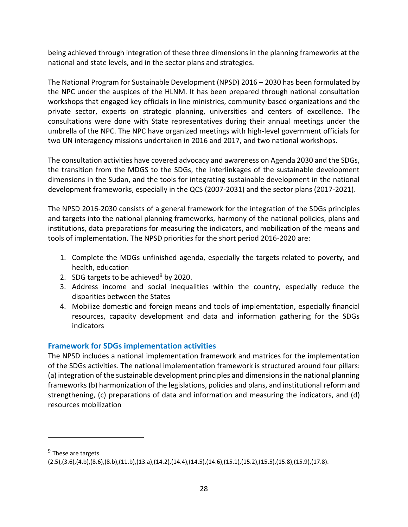being achieved through integration of these three dimensions in the planning frameworks at the national and state levels, and in the sector plans and strategies.

The National Program for Sustainable Development (NPSD) 2016 – 2030 has been formulated by the NPC under the auspices of the HLNM. It has been prepared through national consultation workshops that engaged key officials in line ministries, community-based organizations and the private sector, experts on strategic planning, universities and centers of excellence. The consultations were done with State representatives during their annual meetings under the umbrella of the NPC. The NPC have organized meetings with high-level government officials for two UN interagency missions undertaken in 2016 and 2017, and two national workshops.

The consultation activities have covered advocacy and awareness on Agenda 2030 and the SDGs, the transition from the MDGS to the SDGs, the interlinkages of the sustainable development dimensions in the Sudan, and the tools for integrating sustainable development in the national development frameworks, especially in the QCS (2007-2031) and the sector plans (2017-2021).

The NPSD 2016-2030 consists of a general framework for the integration of the SDGs principles and targets into the national planning frameworks, harmony of the national policies, plans and institutions, data preparations for measuring the indicators, and mobilization of the means and tools of implementation. The NPSD priorities for the short period 2016-2020 are:

- 1. Complete the MDGs unfinished agenda, especially the targets related to poverty, and health, education
- 2. SDG targets to be achieved<sup>9</sup> by 2020.
- 3. Address income and social inequalities within the country, especially reduce the disparities between the States
- 4. Mobilize domestic and foreign means and tools of implementation, especially financial resources, capacity development and data and information gathering for the SDGs indicators

#### <span id="page-28-0"></span>**Framework for SDGs implementation activities**

The NPSD includes a national implementation framework and matrices for the implementation of the SDGs activities. The national implementation framework is structured around four pillars: (a) integration of the sustainable development principles and dimensions in the national planning frameworks (b) harmonization of the legislations, policies and plans, and institutional reform and strengthening, (c) preparations of data and information and measuring the indicators, and (d) resources mobilization

 $\overline{a}$ 

<sup>&</sup>lt;sup>9</sup> These are targets

<sup>(2.5),(3.6),(4.</sup>b),(8.6),(8.b),(11.b),(13.a),(14.2),(14.4),(14.5),(14.6),(15.1),(15.2),(15.5),(15.8),(15.9),(17.8).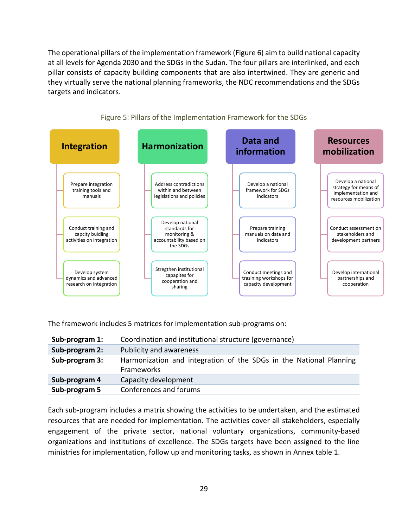The operational pillars of the implementation framework (Figure 6) aim to build national capacity at all levels for Agenda 2030 and the SDGs in the Sudan. The four pillars are interlinked, and each pillar consists of capacity building components that are also intertwined. They are generic and they virtually serve the national planning frameworks, the NDC recommendations and the SDGs targets and indicators.



Figure 5: Pillars of the Implementation Framework for the SDGs

The framework includes 5 matrices for implementation sub-programs on:

| Sub-program 1: | Coordination and institutional structure (governance)                            |  |
|----------------|----------------------------------------------------------------------------------|--|
| Sub-program 2: | Publicity and awareness                                                          |  |
| Sub-program 3: | Harmonization and integration of the SDGs in the National Planning<br>Frameworks |  |
| Sub-program 4  | Capacity development                                                             |  |
| Sub-program 5  | Conferences and forums                                                           |  |

Each sub-program includes a matrix showing the activities to be undertaken, and the estimated resources that are needed for implementation. The activities cover all stakeholders, especially engagement of the private sector, national voluntary organizations, community-based organizations and institutions of excellence. The SDGs targets have been assigned to the line ministries for implementation, follow up and monitoring tasks, as shown in Annex table 1.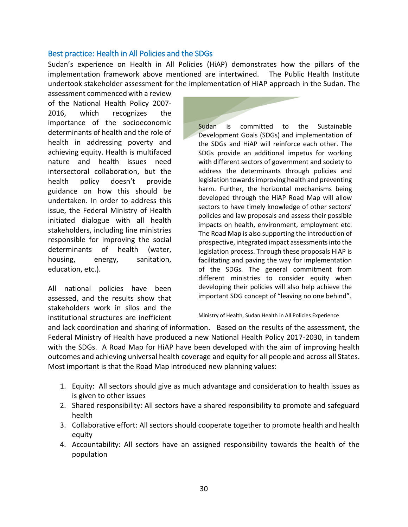#### <span id="page-30-0"></span>Best practice: Health in All Policies and the SDGs

Sudan's experience on Health in All Policies (HiAP) demonstrates how the pillars of the implementation framework above mentioned are intertwined. The Public Health Institute undertook stakeholder assessment for the implementation of HiAP approach in the Sudan. The

assessment commenced with a review of the National Health Policy 2007- 2016, which recognizes the importance of the socioeconomic determinants of health and the role of health in addressing poverty and achieving equity. Health is multifaced nature and health issues need intersectoral collaboration, but the health policy doesn't provide guidance on how this should be undertaken. In order to address this issue, the Federal Ministry of Health initiated dialogue with all health stakeholders, including line ministries responsible for improving the social determinants of health (water, housing, energy, sanitation, education, etc.).

All national policies have been assessed, and the results show that stakeholders work in silos and the institutional structures are inefficient Sudan is committed to the Sustainable Development Goals (SDGs) and implementation of the SDGs and HiAP will reinforce each other. The SDGs provide an additional impetus for working with different sectors of government and society to address the determinants through policies and legislation towards improving health and preventing harm. Further, the horizontal mechanisms being developed through the HiAP Road Map will allow sectors to have timely knowledge of other sectors' policies and law proposals and assess their possible impacts on health, environment, employment etc. The Road Map is also supporting the introduction of prospective, integrated impact assessments into the legislation process. Through these proposals HiAP is facilitating and paving the way for implementation of the SDGs. The general commitment from different ministries to consider equity when developing their policies will also help achieve the important SDG concept of "leaving no one behind".

#### Ministry of Health, Sudan Health in All Policies Experience

and lack coordination and sharing of information. Based on the results of the assessment, the Federal Ministry of Health have produced a new National Health Policy 2017-2030, in tandem with the SDGs. A Road Map for HiAP have been developed with the aim of improving health outcomes and achieving universal health coverage and equity for all people and across all States. Most important is that the Road Map introduced new planning values:

- 1. Equity: All sectors should give as much advantage and consideration to health issues as is given to other issues
- 2. Shared responsibility: All sectors have a shared responsibility to promote and safeguard health
- 3. Collaborative effort: All sectors should cooperate together to promote health and health equity
- 4. Accountability: All sectors have an assigned responsibility towards the health of the population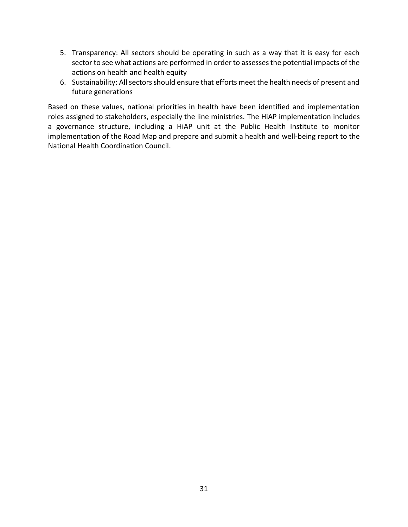- 5. Transparency: All sectors should be operating in such as a way that it is easy for each sector to see what actions are performed in order to assesses the potential impacts of the actions on health and health equity
- 6. Sustainability: All sectors should ensure that efforts meet the health needs of present and future generations

Based on these values, national priorities in health have been identified and implementation roles assigned to stakeholders, especially the line ministries. The HiAP implementation includes a governance structure, including a HiAP unit at the Public Health Institute to monitor implementation of the Road Map and prepare and submit a health and well-being report to the National Health Coordination Council.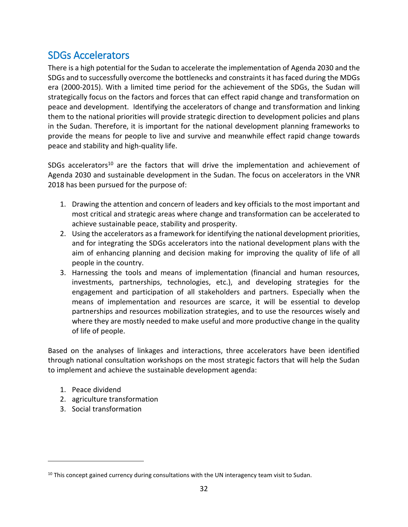# <span id="page-32-0"></span>SDGs Accelerators

There is a high potential for the Sudan to accelerate the implementation of Agenda 2030 and the SDGs and to successfully overcome the bottlenecks and constraints it has faced during the MDGs era (2000-2015). With a limited time period for the achievement of the SDGs, the Sudan will strategically focus on the factors and forces that can effect rapid change and transformation on peace and development. Identifying the accelerators of change and transformation and linking them to the national priorities will provide strategic direction to development policies and plans in the Sudan. Therefore, it is important for the national development planning frameworks to provide the means for people to live and survive and meanwhile effect rapid change towards peace and stability and high-quality life.

SDGs accelerators<sup>10</sup> are the factors that will drive the implementation and achievement of Agenda 2030 and sustainable development in the Sudan. The focus on accelerators in the VNR 2018 has been pursued for the purpose of:

- 1. Drawing the attention and concern of leaders and key officials to the most important and most critical and strategic areas where change and transformation can be accelerated to achieve sustainable peace, stability and prosperity.
- 2. Using the accelerators as a framework for identifying the national development priorities, and for integrating the SDGs accelerators into the national development plans with the aim of enhancing planning and decision making for improving the quality of life of all people in the country.
- 3. Harnessing the tools and means of implementation (financial and human resources, investments, partnerships, technologies, etc.), and developing strategies for the engagement and participation of all stakeholders and partners. Especially when the means of implementation and resources are scarce, it will be essential to develop partnerships and resources mobilization strategies, and to use the resources wisely and where they are mostly needed to make useful and more productive change in the quality of life of people.

Based on the analyses of linkages and interactions, three accelerators have been identified through national consultation workshops on the most strategic factors that will help the Sudan to implement and achieve the sustainable development agenda:

1. Peace dividend

 $\overline{a}$ 

- 2. agriculture transformation
- 3. Social transformation

 $10$  This concept gained currency during consultations with the UN interagency team visit to Sudan.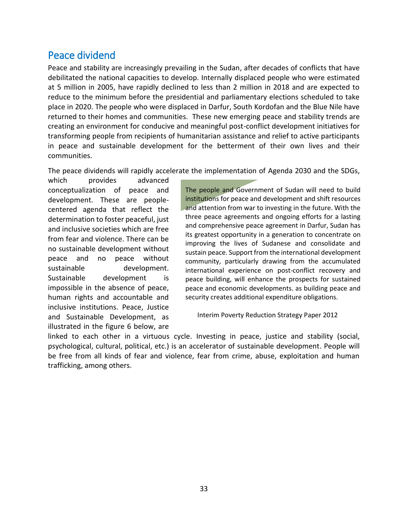# <span id="page-33-0"></span>Peace dividend

Peace and stability are increasingly prevailing in the Sudan, after decades of conflicts that have debilitated the national capacities to develop. Internally displaced people who were estimated at 5 million in 2005, have rapidly declined to less than 2 million in 2018 and are expected to reduce to the minimum before the presidential and parliamentary elections scheduled to take place in 2020. The people who were displaced in Darfur, South Kordofan and the Blue Nile have returned to their homes and communities. These new emerging peace and stability trends are creating an environment for conducive and meaningful post-conflict development initiatives for transforming people from recipients of humanitarian assistance and relief to active participants in peace and sustainable development for the betterment of their own lives and their communities.

The peace dividends will rapidly accelerate the implementation of Agenda 2030 and the SDGs,

which provides advanced conceptualization of peace and development. These are peoplecentered agenda that reflect the determination to foster peaceful, just and inclusive societies which are free from fear and violence. There can be no sustainable development without peace and no peace without sustainable development. Sustainable development is impossible in the absence of peace, human rights and accountable and inclusive institutions. Peace, Justice and Sustainable Development, as illustrated in the figure 6 below, are

The people and Government of Sudan will need to build institutions for peace and development and shift resources and attention from war to investing in the future. With the three peace agreements and ongoing efforts for a lasting and comprehensive peace agreement in Darfur, Sudan has its greatest opportunity in a generation to concentrate on improving the lives of Sudanese and consolidate and sustain peace. Support from the international development community, particularly drawing from the accumulated international experience on post-conflict recovery and peace building, will enhance the prospects for sustained peace and economic developments. as building peace and security creates additional expenditure obligations.

Interim Poverty Reduction Strategy Paper 2012

linked to each other in a virtuous cycle. Investing in peace, justice and stability (social, psychological, cultural, political, etc.) is an accelerator of sustainable development. People will be free from all kinds of fear and violence, fear from crime, abuse, exploitation and human trafficking, among others.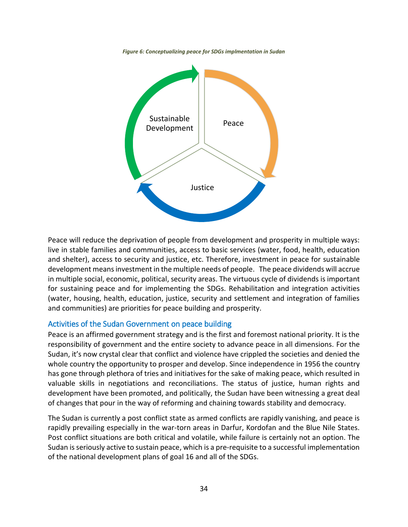*Figure 6: Conceptualizing peace for SDGs implmentation in Sudan*



Peace will reduce the deprivation of people from development and prosperity in multiple ways: live in stable families and communities, access to basic services (water, food, health, education and shelter), access to security and justice, etc. Therefore, investment in peace for sustainable development means investment in the multiple needs of people. The peace dividends will accrue in multiple social, economic, political, security areas. The virtuous cycle of dividends is important for sustaining peace and for implementing the SDGs. Rehabilitation and integration activities (water, housing, health, education, justice, security and settlement and integration of families and communities) are priorities for peace building and prosperity.

#### <span id="page-34-0"></span>Activities of the Sudan Government on peace building

Peace is an affirmed government strategy and is the first and foremost national priority. It is the responsibility of government and the entire society to advance peace in all dimensions. For the Sudan, it's now crystal clear that conflict and violence have crippled the societies and denied the whole country the opportunity to prosper and develop. Since independence in 1956 the country has gone through plethora of tries and initiatives for the sake of making peace, which resulted in valuable skills in negotiations and reconciliations. The status of justice, human rights and development have been promoted, and politically, the Sudan have been witnessing a great deal of changes that pour in the way of reforming and chaining towards stability and democracy.

The Sudan is currently a post conflict state as armed conflicts are rapidly vanishing, and peace is rapidly prevailing especially in the war-torn areas in Darfur, Kordofan and the Blue Nile States. Post conflict situations are both critical and volatile, while failure is certainly not an option. The Sudan is seriously active to sustain peace, which is a pre-requisite to a successful implementation of the national development plans of goal 16 and all of the SDGs.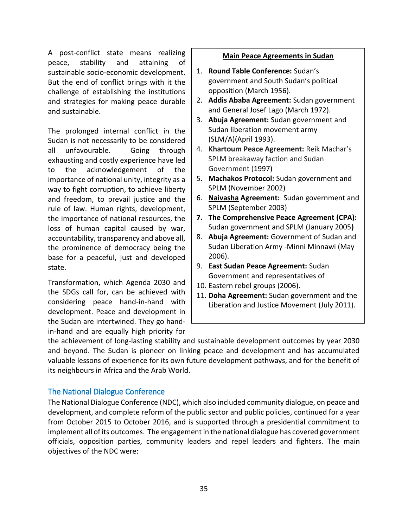A post-conflict state means realizing peace, stability and attaining of sustainable socio-economic development. But the end of conflict brings with it the challenge of establishing the institutions and strategies for making peace durable and sustainable.

The prolonged internal conflict in the Sudan is not necessarily to be considered all unfavourable. Going through exhausting and costly experience have led to the acknowledgement of the importance of national unity, integrity as a way to fight corruption, to achieve liberty and freedom, to prevail justice and the rule of law. Human rights, development, the importance of national resources, the loss of human capital caused by war, accountability, transparency and above all, the prominence of democracy being the base for a peaceful, just and developed state.

Transformation, which Agenda 2030 and the SDGs call for, can be achieved with considering peace hand-in-hand with development. Peace and development in the Sudan are intertwined. They go handin-hand and are equally high priority for

#### **Main Peace Agreements in Sudan**

- 1. **Round Table Conference:** Sudan's government and South Sudan's political opposition (March 1956).
- 2. **Addis Ababa Agreement:** Sudan government and General Josef Lago (March 1972).
- 3. **Abuja Agreement:** Sudan government and Sudan liberation movement army (SLM/A)(April 1993).
- 4. **Khartoum Peace Agreement:** Reik Machar's SPLM breakaway faction and Sudan Government (1997)
- 5. **Machakos Protocol:** Sudan government and SPLM (November 2002)
- 6. **[Naivasha](https://en.wikipedia.org/wiki/Naivasha) Agreement:** Sudan government and SPLM (September 2003)
- **7. The Comprehensive Peace Agreement (CPA):**  Sudan government and SPLM (January 2005**)**
- 8. **Abuja Agreement:** Government of Sudan and Sudan Liberation Army -Minni Minnawi (May 2006).
- 9. **East Sudan Peace Agreement:** Sudan Government and representatives of
- 10. Eastern rebel groups (2006).
- 11. **Doha Agreement:** Sudan government and the Liberation and Justice Movement (July 2011).

the achievement of long-lasting stability and sustainable development outcomes by year 2030 and beyond. The Sudan is pioneer on linking peace and development and has accumulated valuable lessons of experience for its own future development pathways, and for the benefit of its neighbours in Africa and the Arab World.

#### <span id="page-35-0"></span>The National Dialogue Conference

The National Dialogue Conference (NDC), which also included community dialogue, on peace and development, and complete reform of the public sector and public policies, continued for a year from October 2015 to October 2016, and is supported through a presidential commitment to implement all of its outcomes. The engagement in the national dialogue has covered government officials, opposition parties, community leaders and repel leaders and fighters. The main objectives of the NDC were: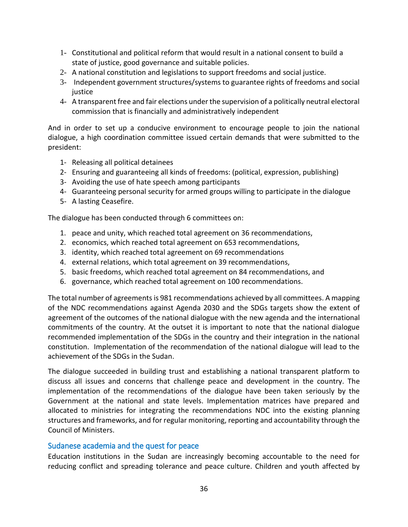- 1- Constitutional and political reform that would result in a national consent to build a state of justice, good governance and suitable policies.
- 2- A national constitution and legislations to support freedoms and social justice.
- 3- Independent government structures/systems to guarantee rights of freedoms and social justice
- 4- A transparent free and fair elections under the supervision of a politically neutral electoral commission that is financially and administratively independent

And in order to set up a conducive environment to encourage people to join the national dialogue, a high coordination committee issued certain demands that were submitted to the president:

- 1- Releasing all political detainees
- 2- Ensuring and guaranteeing all kinds of freedoms: (political, expression, publishing)
- 3- Avoiding the use of hate speech among participants
- 4- Guaranteeing personal security for armed groups willing to participate in the dialogue
- 5- A lasting Ceasefire.

The dialogue has been conducted through 6 committees on:

- 1. peace and unity, which reached total agreement on 36 recommendations,
- 2. economics, which reached total agreement on 653 recommendations,
- 3. identity, which reached total agreement on 69 recommendations
- 4. external relations, which total agreement on 39 recommendations,
- 5. basic freedoms, which reached total agreement on 84 recommendations, and
- 6. governance, which reached total agreement on 100 recommendations.

The total number of agreementsis 981 recommendations achieved by all committees. A mapping of the NDC recommendations against Agenda 2030 and the SDGs targets show the extent of agreement of the outcomes of the national dialogue with the new agenda and the international commitments of the country. At the outset it is important to note that the national dialogue recommended implementation of the SDGs in the country and their integration in the national constitution. Implementation of the recommendation of the national dialogue will lead to the achievement of the SDGs in the Sudan.

The dialogue succeeded in building trust and establishing a national transparent platform to discuss all issues and concerns that challenge peace and development in the country. The implementation of the recommendations of the dialogue have been taken seriously by the Government at the national and state levels. Implementation matrices have prepared and allocated to ministries for integrating the recommendations NDC into the existing planning structures and frameworks, and for regular monitoring, reporting and accountability through the Council of Ministers.

#### <span id="page-36-0"></span>Sudanese academia and the quest for peace

Education institutions in the Sudan are increasingly becoming accountable to the need for reducing conflict and spreading tolerance and peace culture. Children and youth affected by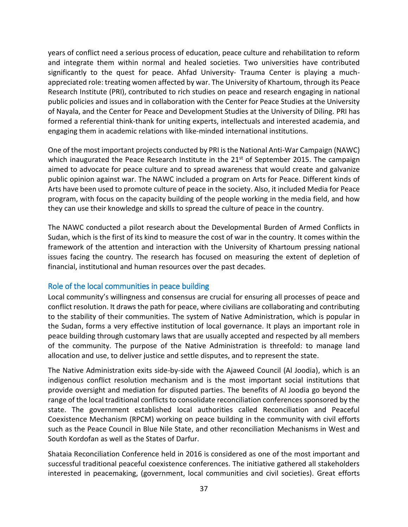years of conflict need a serious process of education, peace culture and rehabilitation to reform and integrate them within normal and healed societies. Two universities have contributed significantly to the quest for peace. Ahfad University- Trauma Center is playing a muchappreciated role: treating women affected by war. The University of Khartoum, through its Peace Research Institute (PRI), contributed to rich studies on peace and research engaging in national public policies and issues and in collaboration with the Center for Peace Studies at the University of Nayala, and the Center for Peace and Development Studies at the University of Diling. PRI has formed a referential think-thank for uniting experts, intellectuals and interested academia, and engaging them in academic relations with like-minded international institutions.

One of the most important projects conducted by PRI is the National Anti-War Campaign (NAWC) which inaugurated the Peace Research Institute in the  $21<sup>st</sup>$  of September 2015. The campaign aimed to advocate for peace culture and to spread awareness that would create and galvanize public opinion against war. The NAWC included a program on Arts for Peace. Different kinds of Arts have been used to promote culture of peace in the society. Also, it included Media for Peace program, with focus on the capacity building of the people working in the media field, and how they can use their knowledge and skills to spread the culture of peace in the country.

The NAWC conducted a pilot research about the Developmental Burden of Armed Conflicts in Sudan, which is the first of its kind to measure the cost of war in the country. It comes within the framework of the attention and interaction with the University of Khartoum pressing national issues facing the country. The research has focused on measuring the extent of depletion of financial, institutional and human resources over the past decades.

#### <span id="page-37-0"></span>Role of the local communities in peace building

Local community's willingness and consensus are crucial for ensuring all processes of peace and conflict resolution. It draws the path for peace, where civilians are collaborating and contributing to the stability of their communities. The system of Native Administration, which is popular in the Sudan, forms a very effective institution of local governance. It plays an important role in peace building through customary laws that are usually accepted and respected by all members of the community. The purpose of the Native Administration is threefold: to manage land allocation and use, to deliver justice and settle disputes, and to represent the state.

The Native Administration exits side-by-side with the Ajaweed Council (Al Joodia), which is an indigenous conflict resolution mechanism and is the most important social institutions that provide oversight and mediation for disputed parties. The benefits of Al Joodia go beyond the range of the local traditional conflicts to consolidate reconciliation conferences sponsored by the state. The government established local authorities called Reconciliation and Peaceful Coexistence Mechanism (RPCM) working on peace building in the community with civil efforts such as the Peace Council in Blue Nile State, and other reconciliation Mechanisms in West and South Kordofan as well as the States of Darfur.

Shataia Reconciliation Conference held in 2016 is considered as one of the most important and successful traditional peaceful coexistence conferences. The initiative gathered all stakeholders interested in peacemaking, (government, local communities and civil societies). Great efforts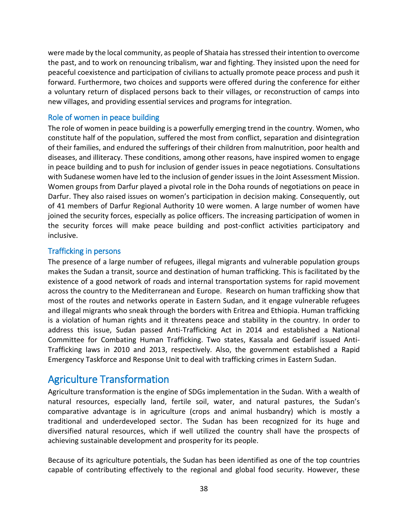were made by the local community, as people of Shataia has stressed their intention to overcome the past, and to work on renouncing tribalism, war and fighting. They insisted upon the need for peaceful coexistence and participation of civilians to actually promote peace process and push it forward. Furthermore, two choices and supports were offered during the conference for either a voluntary return of displaced persons back to their villages, or reconstruction of camps into new villages, and providing essential services and programs for integration.

#### <span id="page-38-0"></span>Role of women in peace building

The role of women in peace building is a powerfully emerging trend in the country. Women, who constitute half of the population, suffered the most from conflict, separation and disintegration of their families, and endured the sufferings of their children from malnutrition, poor health and diseases, and illiteracy. These conditions, among other reasons, have inspired women to engage in peace building and to push for inclusion of gender issues in peace negotiations. Consultations with Sudanese women have led to the inclusion of gender issues in the Joint Assessment Mission. Women groups from Darfur played a pivotal role in the Doha rounds of negotiations on peace in Darfur. They also raised issues on women's participation in decision making. Consequently, out of 41 members of Darfur Regional Authority 10 were women. A large number of women have joined the security forces, especially as police officers. The increasing participation of women in the security forces will make peace building and post-conflict activities participatory and inclusive.

#### <span id="page-38-1"></span>Trafficking in persons

The presence of a large number of refugees, illegal migrants and vulnerable population groups makes the Sudan a transit, source and destination of human trafficking. This is facilitated by the existence of a good network of roads and internal transportation systems for rapid movement across the country to the Mediterranean and Europe. Research on human trafficking show that most of the routes and networks operate in Eastern Sudan, and it engage vulnerable refugees and illegal migrants who sneak through the borders with Eritrea and Ethiopia. Human trafficking is a violation of human rights and it threatens peace and stability in the country. In order to address this issue, Sudan passed Anti-Trafficking Act in 2014 and established a National Committee for Combating Human Trafficking. Two states, Kassala and Gedarif issued Anti-Trafficking laws in 2010 and 2013, respectively. Also, the government established a Rapid Emergency Taskforce and Response Unit to deal with trafficking crimes in Eastern Sudan.

# <span id="page-38-2"></span>Agriculture Transformation

Agriculture transformation is the engine of SDGs implementation in the Sudan. With a wealth of natural resources, especially land, fertile soil, water, and natural pastures, the Sudan's comparative advantage is in agriculture (crops and animal husbandry) which is mostly a traditional and underdeveloped sector. The Sudan has been recognized for its huge and diversified natural resources, which if well utilized the country shall have the prospects of achieving sustainable development and prosperity for its people.

Because of its agriculture potentials, the Sudan has been identified as one of the top countries capable of contributing effectively to the regional and global food security. However, these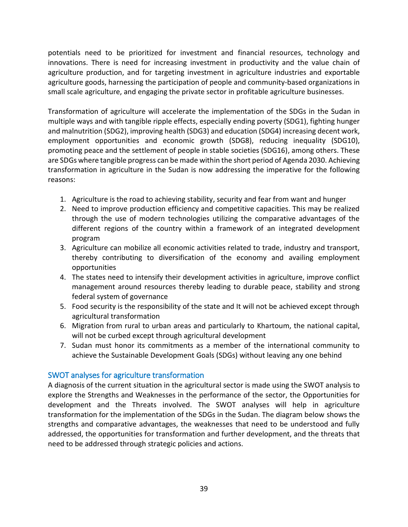potentials need to be prioritized for investment and financial resources, technology and innovations. There is need for increasing investment in productivity and the value chain of agriculture production, and for targeting investment in agriculture industries and exportable agriculture goods, harnessing the participation of people and community-based organizations in small scale agriculture, and engaging the private sector in profitable agriculture businesses.

Transformation of agriculture will accelerate the implementation of the SDGs in the Sudan in multiple ways and with tangible ripple effects, especially ending poverty (SDG1), fighting hunger and malnutrition (SDG2), improving health (SDG3) and education (SDG4) increasing decent work, employment opportunities and economic growth (SDG8), reducing inequality (SDG10), promoting peace and the settlement of people in stable societies (SDG16), among others. These are SDGs where tangible progress can be made within the short period of Agenda 2030. Achieving transformation in agriculture in the Sudan is now addressing the imperative for the following reasons:

- 1. Agriculture is the road to achieving stability, security and fear from want and hunger
- 2. Need to improve production efficiency and competitive capacities. This may be realized through the use of modern technologies utilizing the comparative advantages of the different regions of the country within a framework of an integrated development program
- 3. Agriculture can mobilize all economic activities related to trade, industry and transport, thereby contributing to diversification of the economy and availing employment opportunities
- 4. The states need to intensify their development activities in agriculture, improve conflict management around resources thereby leading to durable peace, stability and strong federal system of governance
- 5. Food security is the responsibility of the state and It will not be achieved except through agricultural transformation
- 6. Migration from rural to urban areas and particularly to Khartoum, the national capital, will not be curbed except through agricultural development
- 7. Sudan must honor its commitments as a member of the international community to achieve the Sustainable Development Goals (SDGs) without leaving any one behind

#### <span id="page-39-0"></span>SWOT analyses for agriculture transformation

A diagnosis of the current situation in the agricultural sector is made using the SWOT analysis to explore the Strengths and Weaknesses in the performance of the sector, the Opportunities for development and the Threats involved. The SWOT analyses will help in agriculture transformation for the implementation of the SDGs in the Sudan. The diagram below shows the strengths and comparative advantages, the weaknesses that need to be understood and fully addressed, the opportunities for transformation and further development, and the threats that need to be addressed through strategic policies and actions.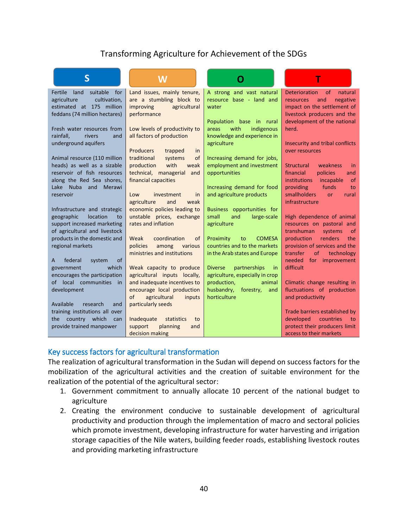### Transforming Agriculture for Achievement of the SDGs

| S                                  | W                                               |                                                                  |                                                               |
|------------------------------------|-------------------------------------------------|------------------------------------------------------------------|---------------------------------------------------------------|
| Fertile<br>suitable<br>land<br>for | Land issues, mainly tenure,                     | A strong and vast natural                                        | of<br><b>Deterioration</b><br>natural                         |
| agriculture<br>cultivation,        | are a stumbling block to                        | resource base - land and                                         | and<br>negative<br>resources                                  |
| estimated at 175 million           | improving<br>agricultural                       | water                                                            | impact on the settlement of                                   |
| feddans (74 million hectares)      | performance                                     |                                                                  | livestock producers and the                                   |
|                                    |                                                 | Population base in rural                                         | development of the national                                   |
| Fresh water resources from         | Low levels of productivity to                   | with<br>indigenous<br>areas                                      | herd.                                                         |
| rainfall,<br>rivers<br>and         | all factors of production                       | knowledge and experience in                                      |                                                               |
| underground aquifers               | <b>Producers</b><br>trapped<br>in               | agriculture                                                      | Insecurity and tribal conflicts<br>over resources             |
| Animal resource (110 million       | traditional<br>of<br>systems                    | Increasing demand for jobs,                                      |                                                               |
| heads) as well as a sizable        | with<br>production<br>weak                      | employment and investment                                        | <b>Structural</b><br>weakness<br>in                           |
| reservoir of fish resources        | technical, managerial<br>and                    | opportunities                                                    | financial<br>policies<br>and                                  |
| along the Red Sea shores,          | financial capacities                            |                                                                  | institutions<br>incapable<br>of                               |
| Lake Nuba<br>and<br>Merawi         |                                                 | Increasing demand for food                                       | funds<br>providing<br>to                                      |
| reservoir                          | Low<br>investment<br>in                         | and agriculture products                                         | <b>smallholders</b><br>rural<br><b>or</b>                     |
|                                    | agriculture<br>weak<br>and                      |                                                                  | infrastructure                                                |
| Infrastructure and strategic       | economic policies leading to                    | Business opportunities for                                       |                                                               |
| location<br>geographic<br>to       | unstable prices, exchange                       | and<br>small<br>large-scale                                      | High dependence of animal                                     |
| support increased marketing        | rates and inflation                             | agriculture                                                      | resources on pastoral and                                     |
| of agricultural and livestock      |                                                 |                                                                  | transhuman<br>systems<br>of                                   |
| products in the domestic and       | Weak<br>coordination<br>of<br>policies          | Proximity<br><b>COMESA</b><br>to<br>countries and to the markets | production<br>renders<br>the<br>provision of services and the |
| regional markets                   | among<br>various<br>ministries and institutions | in the Arab states and Europe                                    | transfer<br><sub>of</sub><br>technology                       |
| of<br>federal<br>system<br>A       |                                                 |                                                                  | needed<br>for improvement                                     |
| which<br>government                | Weak capacity to produce                        | partnerships<br><b>Diverse</b><br><i>in</i>                      | difficult                                                     |
| encourages the participation       | agricultural inputs locally,                    | agriculture, especially in crop                                  |                                                               |
| of local communities<br>in         | and inadequate incentives to                    | production,<br>animal                                            | Climatic change resulting in                                  |
| development                        | encourage local production                      | husbandry,<br>forestry,<br>and                                   | fluctuations of production                                    |
|                                    | of<br>agricultural<br>inputs                    | horticulture                                                     | and productivity                                              |
| Available<br>research<br>and       | particularly seeds                              |                                                                  |                                                               |
| training institutions all over     |                                                 |                                                                  | Trade barriers established by                                 |
| country which<br>the<br>can        | Inadequate<br>statistics<br>to                  |                                                                  | developed<br>countries<br>to                                  |
| provide trained manpower           | planning<br>support<br>and                      |                                                                  | protect their producers limit                                 |
|                                    | decision making                                 |                                                                  | access to their markets                                       |

#### <span id="page-40-0"></span>Key success factors for agricultural transformation

The realization of agricultural transformation in the Sudan will depend on success factors for the mobilization of the agricultural activities and the creation of suitable environment for the realization of the potential of the agricultural sector:

- 1. Government commitment to annually allocate 10 percent of the national budget to agriculture
- 2. Creating the environment conducive to sustainable development of agricultural productivity and production through the implementation of macro and sectoral policies which promote investment, developing infrastructure for water harvesting and irrigation storage capacities of the Nile waters, building feeder roads, establishing livestock routes and providing marketing infrastructure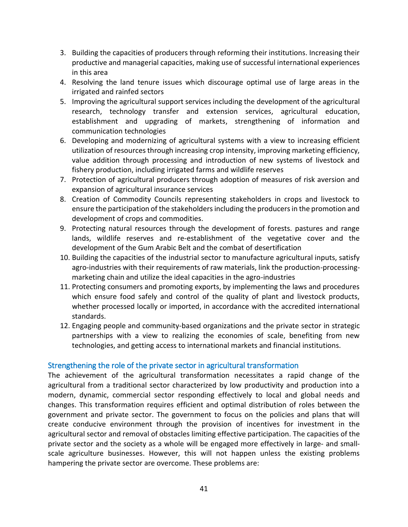- 3. Building the capacities of producers through reforming their institutions. Increasing their productive and managerial capacities, making use of successful international experiences in this area
- 4. Resolving the land tenure issues which discourage optimal use of large areas in the irrigated and rainfed sectors
- 5. Improving the agricultural support services including the development of the agricultural research, technology transfer and extension services, agricultural education, establishment and upgrading of markets, strengthening of information and communication technologies
- 6. Developing and modernizing of agricultural systems with a view to increasing efficient utilization of resources through increasing crop intensity, improving marketing efficiency, value addition through processing and introduction of new systems of livestock and fishery production, including irrigated farms and wildlife reserves
- 7. Protection of agricultural producers through adoption of measures of risk aversion and expansion of agricultural insurance services
- 8. Creation of Commodity Councils representing stakeholders in crops and livestock to ensure the participation of the stakeholders including the producers in the promotion and development of crops and commodities.
- 9. Protecting natural resources through the development of forests. pastures and range lands, wildlife reserves and re-establishment of the vegetative cover and the development of the Gum Arabic Belt and the combat of desertification
- 10. Building the capacities of the industrial sector to manufacture agricultural inputs, satisfy agro-industries with their requirements of raw materials, link the production-processingmarketing chain and utilize the ideal capacities in the agro-industries
- 11. Protecting consumers and promoting exports, by implementing the laws and procedures which ensure food safely and control of the quality of plant and livestock products, whether processed locally or imported, in accordance with the accredited international standards.
- 12. Engaging people and community-based organizations and the private sector in strategic partnerships with a view to realizing the economies of scale, benefiting from new technologies, and getting access to international markets and financial institutions.

#### <span id="page-41-0"></span>Strengthening the role of the private sector in agricultural transformation

The achievement of the agricultural transformation necessitates a rapid change of the agricultural from a traditional sector characterized by low productivity and production into a modern, dynamic, commercial sector responding effectively to local and global needs and changes. This transformation requires efficient and optimal distribution of roles between the government and private sector. The government to focus on the policies and plans that will create conducive environment through the provision of incentives for investment in the agricultural sector and removal of obstacles limiting effective participation. The capacities of the private sector and the society as a whole will be engaged more effectively in large- and smallscale agriculture businesses. However, this will not happen unless the existing problems hampering the private sector are overcome. These problems are: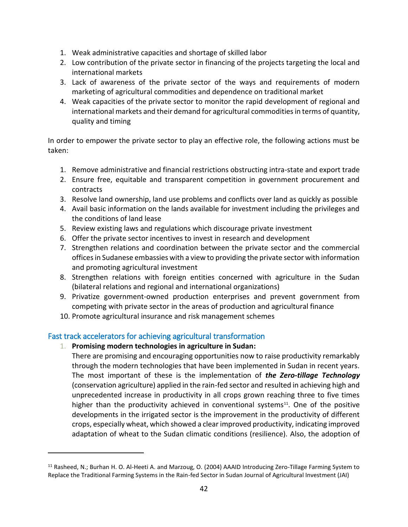- 1. Weak administrative capacities and shortage of skilled labor
- 2. Low contribution of the private sector in financing of the projects targeting the local and international markets
- 3. Lack of awareness of the private sector of the ways and requirements of modern marketing of agricultural commodities and dependence on traditional market
- 4. Weak capacities of the private sector to monitor the rapid development of regional and international markets and their demand for agricultural commodities in terms of quantity, quality and timing

In order to empower the private sector to play an effective role, the following actions must be taken:

- 1. Remove administrative and financial restrictions obstructing intra-state and export trade
- 2. Ensure free, equitable and transparent competition in government procurement and contracts
- 3. Resolve land ownership, land use problems and conflicts over land as quickly as possible
- 4. Avail basic information on the lands available for investment including the privileges and the conditions of land lease
- 5. Review existing laws and regulations which discourage private investment
- 6. Offer the private sector incentives to invest in research and development
- 7. Strengthen relations and coordination between the private sector and the commercial offices in Sudanese embassies with a view to providing the private sector with information and promoting agricultural investment
- 8. Strengthen relations with foreign entities concerned with agriculture in the Sudan (bilateral relations and regional and international organizations)
- 9. Privatize government-owned production enterprises and prevent government from competing with private sector in the areas of production and agricultural finance
- 10. Promote agricultural insurance and risk management schemes

#### <span id="page-42-0"></span>Fast track accelerators for achieving agricultural transformation

1. **Promising modern technologies in agriculture in Sudan:**

 $\overline{a}$ 

There are promising and encouraging opportunities now to raise productivity remarkably through the modern technologies that have been implemented in Sudan in recent years. The most important of these is the implementation of *the Zero-tillage Technology* (conservation agriculture) applied in the rain-fed sector and resulted in achieving high and unprecedented increase in productivity in all crops grown reaching three to five times higher than the productivity achieved in conventional systems $11$ . One of the positive developments in the irrigated sector is the improvement in the productivity of different crops, especially wheat, which showed a clear improved productivity, indicating improved adaptation of wheat to the Sudan climatic conditions (resilience). Also, the adoption of

<sup>11</sup> Rasheed, N.; Burhan H. O. Al-Heeti A. and Marzoug, O. (2004) AAAID Introducing Zero-Tillage Farming System to Replace the Traditional Farming Systems in the Rain-fed Sector in Sudan Journal of Agricultural Investment (JAI)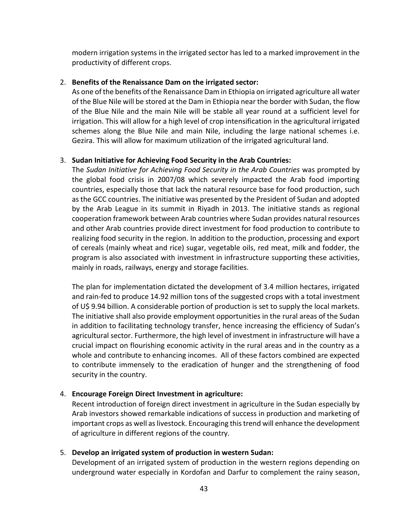modern irrigation systems in the irrigated sector has led to a marked improvement in the productivity of different crops.

#### 2. **Benefits of the Renaissance Dam on the irrigated sector:**

As one of the benefits of the Renaissance Dam in Ethiopia on irrigated agriculture all water of the Blue Nile will be stored at the Dam in Ethiopia near the border with Sudan, the flow of the Blue Nile and the main Nile will be stable all year round at a sufficient level for irrigation. This will allow for a high level of crop intensification in the agricultural irrigated schemes along the Blue Nile and main Nile, including the large national schemes i.e. Gezira. This will allow for maximum utilization of the irrigated agricultural land.

#### 3. **Sudan Initiative for Achieving Food Security in the Arab Countries:**

The *Sudan Initiative for Achieving Food Security in the Arab Countries* was prompted by the global food crisis in 2007/08 which severely impacted the Arab food importing countries, especially those that lack the natural resource base for food production, such as the GCC countries. The initiative was presented by the President of Sudan and adopted by the Arab League in its summit in Riyadh in 2013. The initiative stands as regional cooperation framework between Arab countries where Sudan provides natural resources and other Arab countries provide direct investment for food production to contribute to realizing food security in the region. In addition to the production, processing and export of cereals (mainly wheat and rice) sugar, vegetable oils, red meat, milk and fodder, the program is also associated with investment in infrastructure supporting these activities, mainly in roads, railways, energy and storage facilities.

The plan for implementation dictated the development of 3.4 million hectares, irrigated and rain-fed to produce 14.92 million tons of the suggested crops with a total investment of U\$ 9.94 billion. A considerable portion of production is set to supply the local markets. The initiative shall also provide employment opportunities in the rural areas of the Sudan in addition to facilitating technology transfer, hence increasing the efficiency of Sudan's agricultural sector. Furthermore, the high level of investment in infrastructure will have a crucial impact on flourishing economic activity in the rural areas and in the country as a whole and contribute to enhancing incomes. All of these factors combined are expected to contribute immensely to the eradication of hunger and the strengthening of food security in the country.

#### 4. **Encourage Foreign Direct Investment in agriculture:**

Recent introduction of foreign direct investment in agriculture in the Sudan especially by Arab investors showed remarkable indications of success in production and marketing of important crops as well as livestock. Encouraging this trend will enhance the development of agriculture in different regions of the country.

#### 5. **Develop an irrigated system of production in western Sudan:**

Development of an irrigated system of production in the western regions depending on underground water especially in Kordofan and Darfur to complement the rainy season,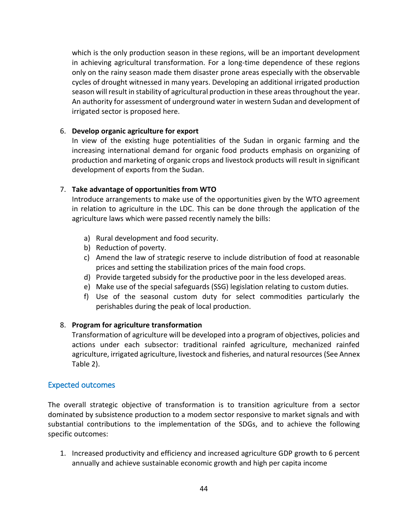which is the only production season in these regions, will be an important development in achieving agricultural transformation. For a long-time dependence of these regions only on the rainy season made them disaster prone areas especially with the observable cycles of drought witnessed in many years. Developing an additional irrigated production season will result in stability of agricultural production in these areas throughout the year. An authority for assessment of underground water in western Sudan and development of irrigated sector is proposed here.

#### 6. **Develop organic agriculture for export**

In view of the existing huge potentialities of the Sudan in organic farming and the increasing international demand for organic food products emphasis on organizing of production and marketing of organic crops and livestock products will result in significant development of exports from the Sudan.

#### 7. **Take advantage of opportunities from WTO**

Introduce arrangements to make use of the opportunities given by the WTO agreement in relation to agriculture in the LDC. This can be done through the application of the agriculture laws which were passed recently namely the bills:

- a) Rural development and food security.
- b) Reduction of poverty.
- c) Amend the law of strategic reserve to include distribution of food at reasonable prices and setting the stabilization prices of the main food crops.
- d) Provide targeted subsidy for the productive poor in the less developed areas.
- e) Make use of the special safeguards (SSG) legislation relating to custom duties.
- f) Use of the seasonal custom duty for select commodities particularly the perishables during the peak of local production.

#### 8. **Program for agriculture transformation**

Transformation of agriculture will be developed into a program of objectives, policies and actions under each subsector: traditional rainfed agriculture, mechanized rainfed agriculture, irrigated agriculture, livestock and fisheries, and natural resources (See Annex Table 2).

#### <span id="page-44-0"></span>Expected outcomes

The overall strategic objective of transformation is to transition agriculture from a sector dominated by subsistence production to a modem sector responsive to market signals and with substantial contributions to the implementation of the SDGs, and to achieve the following specific outcomes:

1. Increased productivity and efficiency and increased agriculture GDP growth to 6 percent annually and achieve sustainable economic growth and high per capita income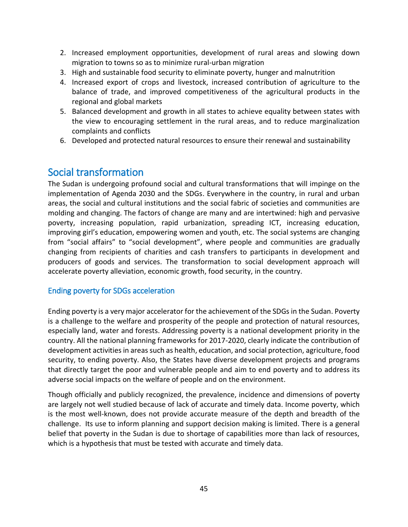- 2. Increased employment opportunities, development of rural areas and slowing down migration to towns so as to minimize rural-urban migration
- 3. High and sustainable food security to eliminate poverty, hunger and malnutrition
- 4. Increased export of crops and livestock, increased contribution of agriculture to the balance of trade, and improved competitiveness of the agricultural products in the regional and global markets
- 5. Balanced development and growth in all states to achieve equality between states with the view to encouraging settlement in the rural areas, and to reduce marginalization complaints and conflicts
- 6. Developed and protected natural resources to ensure their renewal and sustainability

# <span id="page-45-0"></span>Social transformation

The Sudan is undergoing profound social and cultural transformations that will impinge on the implementation of Agenda 2030 and the SDGs. Everywhere in the country, in rural and urban areas, the social and cultural institutions and the social fabric of societies and communities are molding and changing. The factors of change are many and are intertwined: high and pervasive poverty, increasing population, rapid urbanization, spreading ICT, increasing education, improving girl's education, empowering women and youth, etc. The social systems are changing from "social affairs" to "social development", where people and communities are gradually changing from recipients of charities and cash transfers to participants in development and producers of goods and services. The transformation to social development approach will accelerate poverty alleviation, economic growth, food security, in the country.

#### <span id="page-45-1"></span>Ending poverty for SDGs acceleration

Ending poverty is a very major accelerator for the achievement of the SDGs in the Sudan. Poverty is a challenge to the welfare and prosperity of the people and protection of natural resources, especially land, water and forests. Addressing poverty is a national development priority in the country. All the national planning frameworks for 2017-2020, clearly indicate the contribution of development activities in areas such as health, education, and social protection, agriculture, food security, to ending poverty. Also, the States have diverse development projects and programs that directly target the poor and vulnerable people and aim to end poverty and to address its adverse social impacts on the welfare of people and on the environment.

Though officially and publicly recognized, the prevalence, incidence and dimensions of poverty are largely not well studied because of lack of accurate and timely data. Income poverty, which is the most well-known, does not provide accurate measure of the depth and breadth of the challenge. Its use to inform planning and support decision making is limited. There is a general belief that poverty in the Sudan is due to shortage of capabilities more than lack of resources, which is a hypothesis that must be tested with accurate and timely data.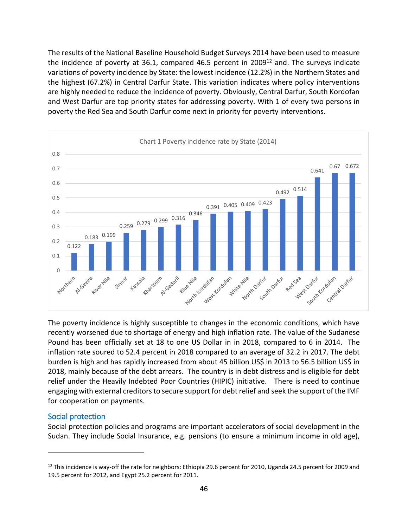The results of the National Baseline Household Budget Surveys 2014 have been used to measure the incidence of poverty at 36.1, compared 46.5 percent in 2009 $^{12}$  and. The surveys indicate variations of poverty incidence by State: the lowest incidence (12.2%) in the Northern States and the highest (67.2%) in Central Darfur State. This variation indicates where policy interventions are highly needed to reduce the incidence of poverty. Obviously, Central Darfur, South Kordofan and West Darfur are top priority states for addressing poverty. With 1 of every two persons in poverty the Red Sea and South Darfur come next in priority for poverty interventions.



The poverty incidence is highly susceptible to changes in the economic conditions, which have recently worsened due to shortage of energy and high inflation rate. The value of the Sudanese Pound has been officially set at 18 to one US Dollar in in 2018, compared to 6 in 2014. The inflation rate soured to 52.4 percent in 2018 compared to an average of 32.2 in 2017. The debt burden is high and has rapidly increased from about 45 billion US\$ in 2013 to 56.5 billion US\$ in 2018, mainly because of the debt arrears. The country is in debt distress and is eligible for debt relief under the Heavily Indebted Poor Countries (HIPIC) initiative. There is need to continue engaging with external creditors to secure support for debt relief and seek the support of the IMF for cooperation on payments.

#### <span id="page-46-0"></span>Social protection

 $\overline{a}$ 

Social protection policies and programs are important accelerators of social development in the Sudan. They include Social Insurance, e.g. pensions (to ensure a minimum income in old age),

 $12$  This incidence is way-off the rate for neighbors: Ethiopia 29.6 percent for 2010, Uganda 24.5 percent for 2009 and 19.5 percent for 2012, and Egypt 25.2 percent for 2011.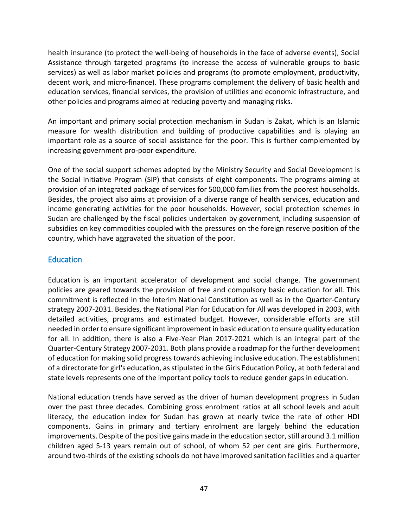health insurance (to protect the well-being of households in the face of adverse events), Social Assistance through targeted programs (to increase the access of vulnerable groups to basic services) as well as labor market policies and programs (to promote employment, productivity, decent work, and micro-finance). These programs complement the delivery of basic health and education services, financial services, the provision of utilities and economic infrastructure, and other policies and programs aimed at reducing poverty and managing risks.

An important and primary social protection mechanism in Sudan is Zakat, which is an Islamic measure for wealth distribution and building of productive capabilities and is playing an important role as a source of social assistance for the poor. This is further complemented by increasing government pro-poor expenditure.

One of the social support schemes adopted by the Ministry Security and Social Development is the Social Initiative Program (SIP) that consists of eight components. The programs aiming at provision of an integrated package of services for 500,000 families from the poorest households. Besides, the project also aims at provision of a diverse range of health services, education and income generating activities for the poor households. However, social protection schemes in Sudan are challenged by the fiscal policies undertaken by government, including suspension of subsidies on key commodities coupled with the pressures on the foreign reserve position of the country, which have aggravated the situation of the poor.

#### <span id="page-47-0"></span>**Education**

Education is an important accelerator of development and social change. The government policies are geared towards the provision of free and compulsory basic education for all. This commitment is reflected in the Interim National Constitution as well as in the Quarter-Century strategy 2007-2031. Besides, the National Plan for Education for All was developed in 2003, with detailed activities, programs and estimated budget. However, considerable efforts are still needed in order to ensure significant improvement in basic education to ensure quality education for all. In addition, there is also a Five-Year Plan 2017-2021 which is an integral part of the Quarter-Century Strategy 2007-2031. Both plans provide a roadmap for the further development of education for making solid progress towards achieving inclusive education. The establishment of a directorate for girl's education, as stipulated in the Girls Education Policy, at both federal and state levels represents one of the important policy tools to reduce gender gaps in education.

National education trends have served as the driver of human development progress in Sudan over the past three decades. Combining gross enrolment ratios at all school levels and adult literacy, the education index for Sudan has grown at nearly twice the rate of other HDI components. Gains in primary and tertiary enrolment are largely behind the education improvements. Despite of the positive gains made in the education sector, still around 3.1 million children aged 5-13 years remain out of school, of whom 52 per cent are girls. Furthermore, around two-thirds of the existing schools do not have improved sanitation facilities and a quarter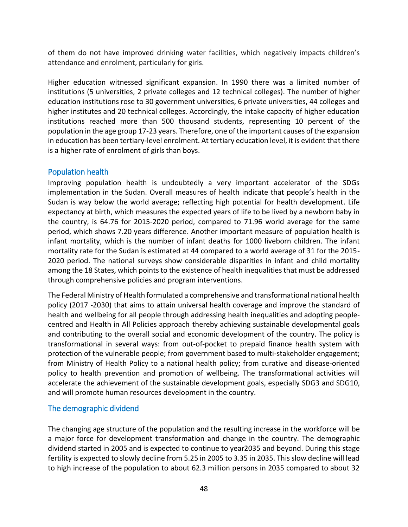of them do not have improved drinking water facilities, which negatively impacts children's attendance and enrolment, particularly for girls.

Higher education witnessed significant expansion. In 1990 there was a limited number of institutions (5 universities, 2 private colleges and 12 technical colleges). The number of higher education institutions rose to 30 government universities, 6 private universities, 44 colleges and higher institutes and 20 technical colleges. Accordingly, the intake capacity of higher education institutions reached more than 500 thousand students, representing 10 percent of the population in the age group 17-23 years. Therefore, one of the important causes of the expansion in education has been tertiary-level enrolment. At tertiary education level, it is evident that there is a higher rate of enrolment of girls than boys.

#### <span id="page-48-0"></span>Population health

Improving population health is undoubtedly a very important accelerator of the SDGs implementation in the Sudan. Overall measures of health indicate that people's health in the Sudan is way below the world average; reflecting high potential for health development. Life expectancy at birth, which measures the expected years of life to be lived by a newborn baby in the country, is 64.76 for 2015-2020 period, compared to 71.96 world average for the same period, which shows 7.20 years difference. Another important measure of population health is infant mortality, which is the number of infant deaths for 1000 liveborn children. The infant mortality rate for the Sudan is estimated at 44 compared to a world average of 31 for the 2015- 2020 period. The national surveys show considerable disparities in infant and child mortality among the 18 States, which points to the existence of health inequalities that must be addressed through comprehensive policies and program interventions.

The Federal Ministry of Health formulated a comprehensive and transformational national health policy (2017 -2030) that aims to attain universal health coverage and improve the standard of health and wellbeing for all people through addressing health inequalities and adopting peoplecentred and Health in All Policies approach thereby achieving sustainable developmental goals and contributing to the overall social and economic development of the country. The policy is transformational in several ways: from out-of-pocket to prepaid finance health system with protection of the vulnerable people; from government based to multi-stakeholder engagement; from Ministry of Health Policy to a national health policy; from curative and disease-oriented policy to health prevention and promotion of wellbeing. The transformational activities will accelerate the achievement of the sustainable development goals, especially SDG3 and SDG10, and will promote human resources development in the country.

#### <span id="page-48-1"></span>The demographic dividend

The changing age structure of the population and the resulting increase in the workforce will be a major force for development transformation and change in the country. The demographic dividend started in 2005 and is expected to continue to year2035 and beyond. During this stage fertility is expected to slowly decline from 5.25 in 2005 to 3.35 in 2035. This slow decline will lead to high increase of the population to about 62.3 million persons in 2035 compared to about 32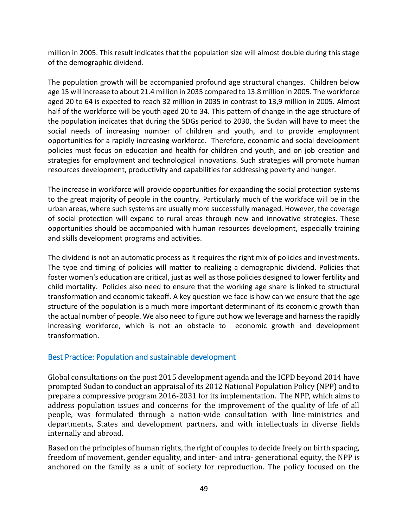million in 2005. This result indicates that the population size will almost double during this stage of the demographic dividend.

The population growth will be accompanied profound age structural changes. Children below age 15 will increase to about 21.4 million in 2035 compared to 13.8 million in 2005. The workforce aged 20 to 64 is expected to reach 32 million in 2035 in contrast to 13,9 million in 2005. Almost half of the workforce will be youth aged 20 to 34. This pattern of change in the age structure of the population indicates that during the SDGs period to 2030, the Sudan will have to meet the social needs of increasing number of children and youth, and to provide employment opportunities for a rapidly increasing workforce. Therefore, economic and social development policies must focus on education and health for children and youth, and on job creation and strategies for employment and technological innovations. Such strategies will promote human resources development, productivity and capabilities for addressing poverty and hunger.

The increase in workforce will provide opportunities for expanding the social protection systems to the great majority of people in the country. Particularly much of the workface will be in the urban areas, where such systems are usually more successfully managed. However, the coverage of social protection will expand to rural areas through new and innovative strategies. These opportunities should be accompanied with human resources development, especially training and skills development programs and activities.

The dividend is not an automatic process as it requires the right mix of policies and investments. The type and timing of policies will matter to realizing a demographic dividend. Policies that foster women's education are critical, just as well as those policies designed to lower fertility and child mortality. Policies also need to ensure that the working age share is linked to structural transformation and economic takeoff. A key question we face is how can we ensure that the age structure of the population is a much more important determinant of its economic growth than the actual number of people. We also need to figure out how we leverage and harness the rapidly increasing workforce, which is not an obstacle to economic growth and development transformation.

#### <span id="page-49-0"></span>Best Practice: Population and sustainable development

Global consultations on the post 2015 development agenda and the ICPD beyond 2014 have prompted Sudan to conduct an appraisal of its 2012 National Population Policy (NPP) and to prepare a compressive program 2016-2031 for its implementation. The NPP, which aims to address population issues and concerns for the improvement of the quality of life of all people, was formulated through a nation-wide consultation with line-ministries and departments, States and development partners, and with intellectuals in diverse fields internally and abroad.

Based on the principles of human rights, the right of couples to decide freely on birth spacing, freedom of movement, gender equality, and inter- and intra- generational equity, the NPP is anchored on the family as a unit of society for reproduction. The policy focused on the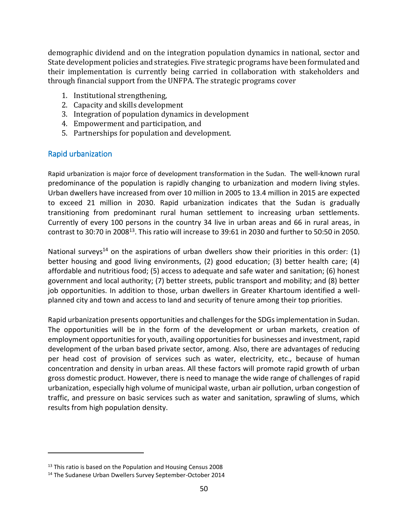demographic dividend and on the integration population dynamics in national, sector and State development policies and strategies. Five strategic programs have been formulated and their implementation is currently being carried in collaboration with stakeholders and through financial support from the UNFPA. The strategic programs cover

- 1. Institutional strengthening,
- 2. Capacity and skills development
- 3. Integration of population dynamics in development
- 4. Empowerment and participation, and
- 5. Partnerships for population and development.

#### <span id="page-50-0"></span>Rapid urbanization

Rapid urbanization is major force of development transformation in the Sudan. The well-known rural predominance of the population is rapidly changing to urbanization and modern living styles. Urban dwellers have increased from over 10 million in 2005 to 13.4 million in 2015 are expected to exceed 21 million in 2030. Rapid urbanization indicates that the Sudan is gradually transitioning from predominant rural human settlement to increasing urban settlements. Currently of every 100 persons in the country 34 live in urban areas and 66 in rural areas, in contrast to 30:70 in 2008<sup>13</sup>. This ratio will increase to 39:61 in 2030 and further to 50:50 in 2050.

National surveys<sup>14</sup> on the aspirations of urban dwellers show their priorities in this order:  $(1)$ better housing and good living environments, (2) good education; (3) better health care; (4) affordable and nutritious food; (5) access to adequate and safe water and sanitation; (6) honest government and local authority; (7) better streets, public transport and mobility; and (8) better job opportunities. In addition to those, urban dwellers in Greater Khartoum identified a wellplanned city and town and access to land and security of tenure among their top priorities.

Rapid urbanization presents opportunities and challenges for the SDGs implementation in Sudan. The opportunities will be in the form of the development or urban markets, creation of employment opportunities for youth, availing opportunities for businesses and investment, rapid development of the urban based private sector, among. Also, there are advantages of reducing per head cost of provision of services such as water, electricity, etc., because of human concentration and density in urban areas. All these factors will promote rapid growth of urban gross domestic product. However, there is need to manage the wide range of challenges of rapid urbanization, especially high volume of municipal waste, urban air pollution, urban congestion of traffic, and pressure on basic services such as water and sanitation, sprawling of slums, which results from high population density.

 $\overline{a}$ 

 $13$  This ratio is based on the Population and Housing Census 2008

<sup>&</sup>lt;sup>14</sup> The Sudanese Urban Dwellers Survey September-October 2014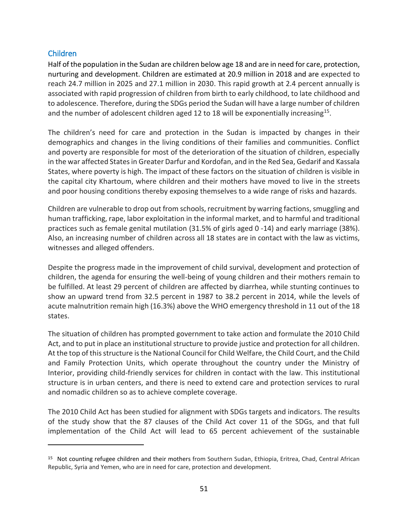#### <span id="page-51-0"></span>Children

 $\overline{a}$ 

Half of the population in the Sudan are children below age 18 and are in need for care, protection, nurturing and development. Children are estimated at 20.9 million in 2018 and are expected to reach 24.7 million in 2025 and 27.1 million in 2030. This rapid growth at 2.4 percent annually is associated with rapid progression of children from birth to early childhood, to late childhood and to adolescence. Therefore, during the SDGs period the Sudan will have a large number of children and the number of adolescent children aged 12 to 18 will be exponentially increasing<sup>15</sup>.

The children's need for care and protection in the Sudan is impacted by changes in their demographics and changes in the living conditions of their families and communities. Conflict and poverty are responsible for most of the deterioration of the situation of children, especially in the war affected States in Greater Darfur and Kordofan, and in the Red Sea, Gedarif and Kassala States, where poverty is high. The impact of these factors on the situation of children is visible in the capital city Khartoum, where children and their mothers have moved to live in the streets and poor housing conditions thereby exposing themselves to a wide range of risks and hazards.

Children are vulnerable to drop out from schools, recruitment by warring factions, smuggling and human trafficking, rape, labor exploitation in the informal market, and to harmful and traditional practices such as female genital mutilation (31.5% of girls aged 0 -14) and early marriage (38%). Also, an increasing number of children across all 18 states are in contact with the law as victims, witnesses and alleged offenders.

Despite the progress made in the improvement of child survival, development and protection of children, the agenda for ensuring the well-being of young children and their mothers remain to be fulfilled. At least 29 percent of children are affected by diarrhea, while stunting continues to show an upward trend from 32.5 percent in 1987 to 38.2 percent in 2014, while the levels of acute malnutrition remain high (16.3%) above the WHO emergency threshold in 11 out of the 18 states.

The situation of children has prompted government to take action and formulate the 2010 Child Act, and to put in place an institutional structure to provide justice and protection for all children. At the top of this structure is the National Council for Child Welfare, the Child Court, and the Child and Family Protection Units, which operate throughout the country under the Ministry of Interior, providing child-friendly services for children in contact with the law. This institutional structure is in urban centers, and there is need to extend care and protection services to rural and nomadic children so as to achieve complete coverage.

The 2010 Child Act has been studied for alignment with SDGs targets and indicators. The results of the study show that the 87 clauses of the Child Act cover 11 of the SDGs, and that full implementation of the Child Act will lead to 65 percent achievement of the sustainable

<sup>&</sup>lt;sup>15</sup> Not counting refugee children and their mothers from Southern Sudan, Ethiopia, Eritrea, Chad, Central African Republic, Syria and Yemen, who are in need for care, protection and development.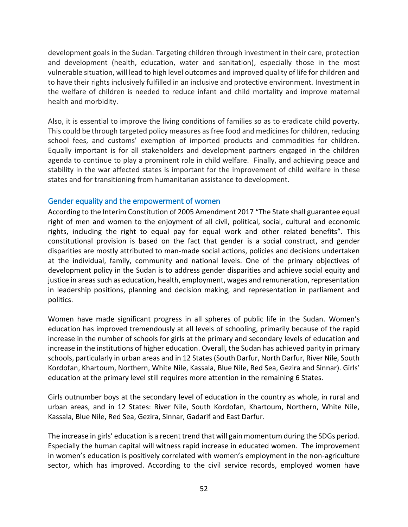development goals in the Sudan. Targeting children through investment in their care, protection and development (health, education, water and sanitation), especially those in the most vulnerable situation, will lead to high level outcomes and improved quality of life for children and to have their rights inclusively fulfilled in an inclusive and protective environment. Investment in the welfare of children is needed to reduce infant and child mortality and improve maternal health and morbidity.

Also, it is essential to improve the living conditions of families so as to eradicate child poverty. This could be through targeted policy measures as free food and medicines for children, reducing school fees, and customs' exemption of imported products and commodities for children. Equally important is for all stakeholders and development partners engaged in the children agenda to continue to play a prominent role in child welfare. Finally, and achieving peace and stability in the war affected states is important for the improvement of child welfare in these states and for transitioning from humanitarian assistance to development.

#### <span id="page-52-0"></span>Gender equality and the empowerment of women

According to the Interim Constitution of 2005 Amendment 2017 "The State shall guarantee equal right of men and women to the enjoyment of all civil, political, social, cultural and economic rights, including the right to equal pay for equal work and other related benefits". This constitutional provision is based on the fact that gender is a social construct, and gender disparities are mostly attributed to man-made social actions, policies and decisions undertaken at the individual, family, community and national levels. One of the primary objectives of development policy in the Sudan is to address gender disparities and achieve social equity and justice in areas such as education, health, employment, wages and remuneration, representation in leadership positions, planning and decision making, and representation in parliament and politics.

Women have made significant progress in all spheres of public life in the Sudan. Women's education has improved tremendously at all levels of schooling, primarily because of the rapid increase in the number of schools for girls at the primary and secondary levels of education and increase in the institutions of higher education. Overall, the Sudan has achieved parity in primary schools, particularly in urban areas and in 12 States (South Darfur, North Darfur, River Nile, South Kordofan, Khartoum, Northern, White Nile, Kassala, Blue Nile, Red Sea, Gezira and Sinnar). Girls' education at the primary level still requires more attention in the remaining 6 States.

Girls outnumber boys at the secondary level of education in the country as whole, in rural and urban areas, and in 12 States: River Nile, South Kordofan, Khartoum, Northern, White Nile, Kassala, Blue Nile, Red Sea, Gezira, Sinnar, Gadarif and East Darfur.

The increase in girls' education is a recent trend that will gain momentum during the SDGs period. Especially the human capital will witness rapid increase in educated women. The improvement in women's education is positively correlated with women's employment in the non-agriculture sector, which has improved. According to the civil service records, employed women have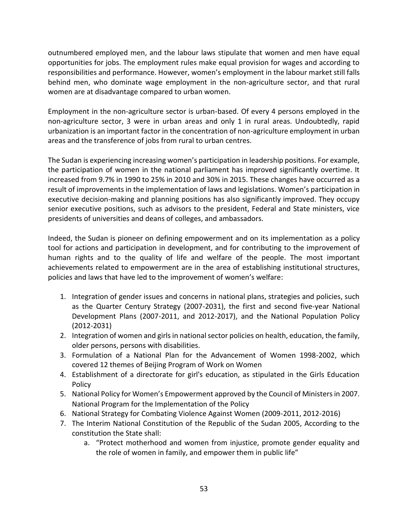outnumbered employed men, and the labour laws stipulate that women and men have equal opportunities for jobs. The employment rules make equal provision for wages and according to responsibilities and performance. However, women's employment in the labour market still falls behind men, who dominate wage employment in the non-agriculture sector, and that rural women are at disadvantage compared to urban women.

Employment in the non-agriculture sector is urban-based. Of every 4 persons employed in the non-agriculture sector, 3 were in urban areas and only 1 in rural areas. Undoubtedly, rapid urbanization is an important factor in the concentration of non-agriculture employment in urban areas and the transference of jobs from rural to urban centres.

The Sudan is experiencing increasing women's participation in leadership positions. For example, the participation of women in the national parliament has improved significantly overtime. It increased from 9.7% in 1990 to 25% in 2010 and 30% in 2015. These changes have occurred as a result of improvements in the implementation of laws and legislations. Women's participation in executive decision-making and planning positions has also significantly improved. They occupy senior executive positions, such as advisors to the president, Federal and State ministers, vice presidents of universities and deans of colleges, and ambassadors.

Indeed, the Sudan is pioneer on defining empowerment and on its implementation as a policy tool for actions and participation in development, and for contributing to the improvement of human rights and to the quality of life and welfare of the people. The most important achievements related to empowerment are in the area of establishing institutional structures, policies and laws that have led to the improvement of women's welfare:

- 1. Integration of gender issues and concerns in national plans, strategies and policies, such as the Quarter Century Strategy (2007-2031), the first and second five-year National Development Plans (2007-2011, and 2012-2017), and the National Population Policy (2012-2031)
- 2. Integration of women and girls in national sector policies on health, education, the family, older persons, persons with disabilities.
- 3. Formulation of a National Plan for the Advancement of Women 1998-2002, which covered 12 themes of Beijing Program of Work on Women
- 4. Establishment of a directorate for girl's education, as stipulated in the Girls Education Policy
- 5. National Policy for Women's Empowerment approved by the Council of Ministers in 2007. National Program for the Implementation of the Policy
- 6. National Strategy for Combating Violence Against Women (2009-2011, 2012-2016)
- 7. The Interim National Constitution of the Republic of the Sudan 2005, According to the constitution the State shall:
	- a. "Protect motherhood and women from injustice, promote gender equality and the role of women in family, and empower them in public life"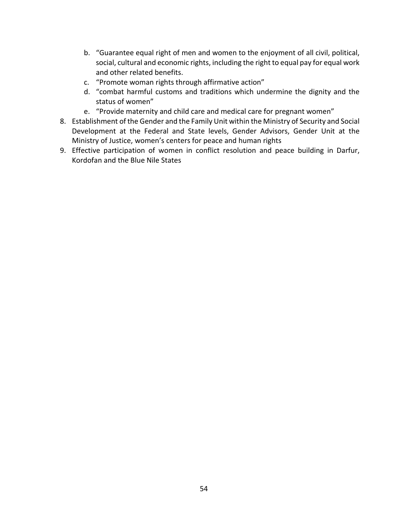- b. "Guarantee equal right of men and women to the enjoyment of all civil, political, social, cultural and economic rights, including the right to equal pay for equal work and other related benefits.
- c. "Promote woman rights through affirmative action"
- d. "combat harmful customs and traditions which undermine the dignity and the status of women"
- e. "Provide maternity and child care and medical care for pregnant women"
- 8. Establishment of the Gender and the Family Unit within the Ministry of Security and Social Development at the Federal and State levels, Gender Advisors, Gender Unit at the Ministry of Justice, women's centers for peace and human rights
- 9. Effective participation of women in conflict resolution and peace building in Darfur, Kordofan and the Blue Nile States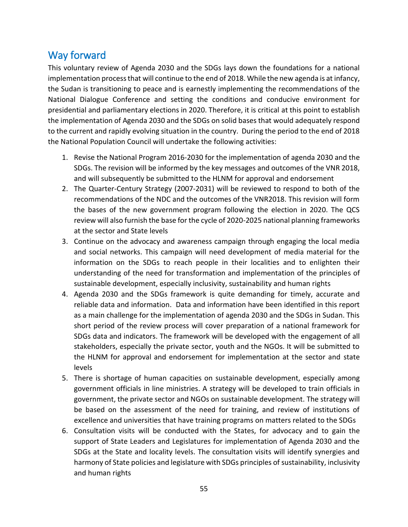# <span id="page-55-0"></span>Way forward

This voluntary review of Agenda 2030 and the SDGs lays down the foundations for a national implementation process that will continue to the end of 2018. While the new agenda is at infancy, the Sudan is transitioning to peace and is earnestly implementing the recommendations of the National Dialogue Conference and setting the conditions and conducive environment for presidential and parliamentary elections in 2020. Therefore, it is critical at this point to establish the implementation of Agenda 2030 and the SDGs on solid bases that would adequately respond to the current and rapidly evolving situation in the country. During the period to the end of 2018 the National Population Council will undertake the following activities:

- 1. Revise the National Program 2016-2030 for the implementation of agenda 2030 and the SDGs. The revision will be informed by the key messages and outcomes of the VNR 2018, and will subsequently be submitted to the HLNM for approval and endorsement
- 2. The Quarter-Century Strategy (2007-2031) will be reviewed to respond to both of the recommendations of the NDC and the outcomes of the VNR2018. This revision will form the bases of the new government program following the election in 2020. The QCS review will also furnish the base for the cycle of 2020-2025 national planning frameworks at the sector and State levels
- 3. Continue on the advocacy and awareness campaign through engaging the local media and social networks. This campaign will need development of media material for the information on the SDGs to reach people in their localities and to enlighten their understanding of the need for transformation and implementation of the principles of sustainable development, especially inclusivity, sustainability and human rights
- 4. Agenda 2030 and the SDGs framework is quite demanding for timely, accurate and reliable data and information. Data and information have been identified in this report as a main challenge for the implementation of agenda 2030 and the SDGs in Sudan. This short period of the review process will cover preparation of a national framework for SDGs data and indicators. The framework will be developed with the engagement of all stakeholders, especially the private sector, youth and the NGOs. It will be submitted to the HLNM for approval and endorsement for implementation at the sector and state levels
- 5. There is shortage of human capacities on sustainable development, especially among government officials in line ministries. A strategy will be developed to train officials in government, the private sector and NGOs on sustainable development. The strategy will be based on the assessment of the need for training, and review of institutions of excellence and universities that have training programs on matters related to the SDGs
- 6. Consultation visits will be conducted with the States, for advocacy and to gain the support of State Leaders and Legislatures for implementation of Agenda 2030 and the SDGs at the State and locality levels. The consultation visits will identify synergies and harmony of State policies and legislature with SDGs principles of sustainability, inclusivity and human rights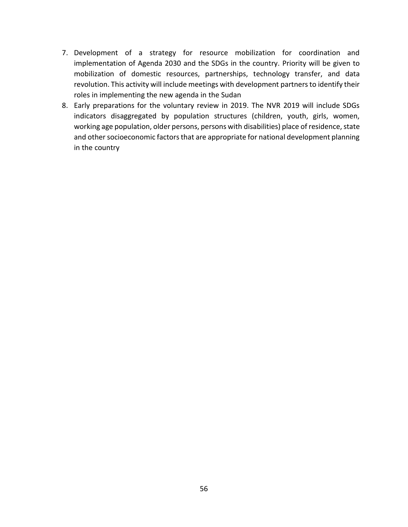- 7. Development of a strategy for resource mobilization for coordination and implementation of Agenda 2030 and the SDGs in the country. Priority will be given to mobilization of domestic resources, partnerships, technology transfer, and data revolution. This activity will include meetings with development partners to identify their roles in implementing the new agenda in the Sudan
- 8. Early preparations for the voluntary review in 2019. The NVR 2019 will include SDGs indicators disaggregated by population structures (children, youth, girls, women, working age population, older persons, persons with disabilities) place of residence, state and other socioeconomic factors that are appropriate for national development planning in the country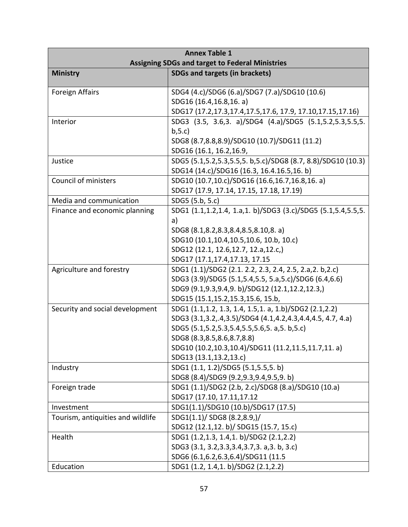| <b>Annex Table 1</b>                                   |                                                                 |  |  |
|--------------------------------------------------------|-----------------------------------------------------------------|--|--|
| <b>Assigning SDGs and target to Federal Ministries</b> |                                                                 |  |  |
| <b>Ministry</b>                                        | <b>SDGs and targets (in brackets)</b>                           |  |  |
| <b>Foreign Affairs</b>                                 | SDG4 (4.c)/SDG6 (6.a)/SDG7 (7.a)/SDG10 (10.6)                   |  |  |
|                                                        | SDG16 (16.4,16.8,16. a)                                         |  |  |
|                                                        | SDG17 (17.2,17.3,17.4,17.5,17.6, 17.9, 17.10,17.15,17.16)       |  |  |
| Interior                                               | SDG3 (3.5, 3.6,3. a)/SDG4 (4.a)/SDG5 (5.1,5.2,5.3,5.5,5.        |  |  |
|                                                        | b, 5.c                                                          |  |  |
|                                                        | SDG8 (8.7,8.8,8.9)/SDG10 (10.7)/SDG11 (11.2)                    |  |  |
|                                                        | SDG16 (16.1, 16.2, 16.9,                                        |  |  |
| Justice                                                | SDG5 (5.1,5.2,5.3,5.5,5. b,5.c)/SDG8 (8.7, 8.8)/SDG10 (10.3)    |  |  |
|                                                        | SDG14 (14.c)/SDG16 (16.3, 16.4.16.5,16.b)                       |  |  |
| Council of ministers                                   | SDG10 (10.7,10.c)/SDG16 (16.6,16.7,16.8,16. a)                  |  |  |
|                                                        | SDG17 (17.9, 17.14, 17.15, 17.18, 17.19)                        |  |  |
| Media and communication                                | SDG5 (5.b, 5.c)                                                 |  |  |
| Finance and economic planning                          | SDG1 (1.1,1.2,1.4, 1.a,1. b)/SDG3 (3.c)/SDG5 (5.1,5.4,5.5,5.    |  |  |
|                                                        | a)                                                              |  |  |
|                                                        | SDG8 (8.1,8.2,8.3,8.4,8.5,8.10,8. a)                            |  |  |
|                                                        | SDG10 (10.1,10.4,10.5,10.6, 10.b, 10.c)                         |  |  |
|                                                        | SDG12 (12.1, 12.6, 12.7, 12.a, 12.c,)                           |  |  |
|                                                        | SDG17 (17.1,17.4,17.13, 17.15                                   |  |  |
| Agriculture and forestry                               | SDG1 (1.1)/SDG2 (2.1. 2.2, 2.3, 2.4, 2.5, 2.a, 2. b, 2.c)       |  |  |
|                                                        | SDG3 (3.9)/SDG5 (5.1,5.4,5.5, 5.a,5.c)/SDG6 (6.4,6.6)           |  |  |
|                                                        | SDG9 (9.1,9.3,9.4,9. b)/SDG12 (12.1,12.2,12.3,)                 |  |  |
|                                                        | SDG15 (15.1,15.2,15.3,15.6, 15.b,                               |  |  |
| Security and social development                        | SDG1 (1.1,1.2, 1.3, 1.4, 1.5,1. a, 1.b)/SDG2 (2.1,2.2)          |  |  |
|                                                        | SDG3 (3.1,3.2,.4,3.5)/SDG4 (4.1,4.2,4.3,4.4,4.5, 4.7, 4.a)      |  |  |
|                                                        | SDG5 (5.1,5.2,5.3,5.4,5.5,5.6,5. a,5. b,5.c)                    |  |  |
|                                                        | SDG8 (8.3,8.5,8.6,8.7,8.8)                                      |  |  |
|                                                        | SDG10 (10.2,10.3,10.4)/SDG11 (11.2,11.5,11.7,11. a)             |  |  |
|                                                        | SDG13 (13.1,13.2,13.c)<br>SDG1 (1.1, 1.2)/SDG5 (5.1, 5.5, 5. b) |  |  |
| Industry                                               | SDG8 (8.4)/SDG9 (9.2,9.3,9.4,9.5,9.b)                           |  |  |
| Foreign trade                                          | SDG1 (1.1)/SDG2 (2.b, 2.c)/SDG8 (8.a)/SDG10 (10.a)              |  |  |
|                                                        | SDG17 (17.10, 17.11,17.12                                       |  |  |
| Investment                                             | SDG1(1.1)/SDG10 (10.b)/SDG17 (17.5)                             |  |  |
| Tourism, antiquities and wildlife                      | SDG1(1.1)/ SDG8 (8.2,8.9,)/                                     |  |  |
|                                                        | SDG12 (12.1,12. b)/ SDG15 (15.7, 15.c)                          |  |  |
| Health                                                 | SDG1 (1.2,1.3, 1.4,1. b)/SDG2 (2.1,2.2)                         |  |  |
|                                                        | SDG3 (3.1, 3.2, 3.3, 3.4, 3.7, 3. a, 3. b, 3.c)                 |  |  |
|                                                        | SDG6 (6.1, 6.2, 6.3, 6.4) / SDG11 (11.5)                        |  |  |
| Education                                              | SDG1 (1.2, 1.4, 1. b)/SDG2 (2.1, 2.2)                           |  |  |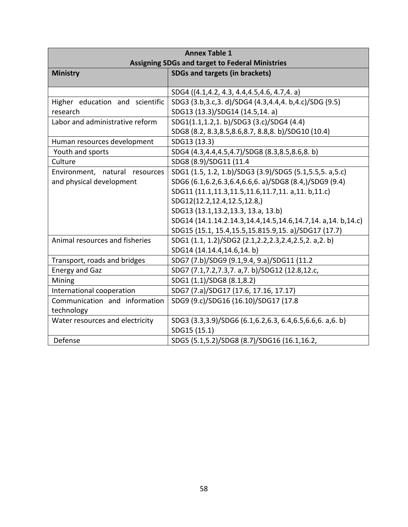| <b>Annex Table 1</b>                                   |                                                             |  |  |
|--------------------------------------------------------|-------------------------------------------------------------|--|--|
| <b>Assigning SDGs and target to Federal Ministries</b> |                                                             |  |  |
| <b>Ministry</b>                                        | <b>SDGs and targets (in brackets)</b>                       |  |  |
|                                                        | SDG4 ((4.1,4.2, 4.3, 4.4,4.5,4.6, 4.7,4. a)                 |  |  |
| Higher education and scientific                        | SDG3 (3.b, 3.c, 3. d)/SDG4 (4.3, 4.4, 4. b, 4.c)/SDG (9.5)  |  |  |
| research                                               | SDG13 (13.3)/SDG14 (14.5,14. a)                             |  |  |
| Labor and administrative reform                        | SDG1(1.1,1.2,1.b)/SDG3 (3.c)/SDG4 (4.4)                     |  |  |
|                                                        | SDG8 (8.2, 8.3, 8.5, 8.6, 8.7, 8.8, 8. b) / SDG10 (10.4)    |  |  |
| Human resources development                            | SDG13 (13.3)                                                |  |  |
| Youth and sports                                       | SDG4 (4.3,4.4,4.5,4.7)/SDG8 (8.3,8.5,8.6,8.b)               |  |  |
| Culture                                                | SDG8 (8.9)/SDG11 (11.4                                      |  |  |
| Environment, natural resources                         | SDG1 (1.5, 1.2, 1.b)/SDG3 (3.9)/SDG5 (5.1,5.5,5. a,5.c)     |  |  |
| and physical development                               | SDG6 (6.1,6.2,6.3,6.4,6.6,6. a)/SDG8 (8.4,)/SDG9 (9.4)      |  |  |
|                                                        | SDG11 (11.1,11.3,11.5,11.6,11.7,11. a,11. b,11.c)           |  |  |
|                                                        | SDG12(12.2,12.4,12.5,12.8,)                                 |  |  |
|                                                        | SDG13 (13.1,13.2,13.3, 13.a, 13.b)                          |  |  |
|                                                        | SDG14 (14.1.14.2.14.3,14.4,14.5,14.6,14.7,14. a,14. b,14.c) |  |  |
|                                                        | SDG15 (15.1, 15.4, 15.5, 15.815.9, 15. a)/SDG17 (17.7)      |  |  |
| Animal resources and fisheries                         | SDG1 (1.1, 1.2)/SDG2 (2.1, 2.2, 2.3, 2.4, 2.5, 2. a, 2. b)  |  |  |
|                                                        | SDG14 (14.14.4,14.6,14.b)                                   |  |  |
| Transport, roads and bridges                           | SDG7 (7.b)/SDG9 (9.1,9.4, 9.a)/SDG11 (11.2                  |  |  |
| <b>Energy and Gaz</b>                                  | SDG7 (7.1,7.2,7.3,7. a,7. b)/SDG12 (12.8,12.c,              |  |  |
| Mining                                                 | SDG1 (1.1)/SDG8 (8.1,8.2)                                   |  |  |
| International cooperation                              | SDG7 (7.a)/SDG17 (17.6, 17.16, 17.17)                       |  |  |
| Communication and information                          | SDG9 (9.c)/SDG16 (16.10)/SDG17 (17.8                        |  |  |
| technology                                             |                                                             |  |  |
| Water resources and electricity                        | SDG3 (3.3,3.9)/SDG6 (6.1,6.2,6.3, 6.4,6.5,6.6,6. a,6. b)    |  |  |
|                                                        | SDG15 (15.1)                                                |  |  |
| Defense                                                | SDG5 (5.1,5.2)/SDG8 (8.7)/SDG16 (16.1,16.2,                 |  |  |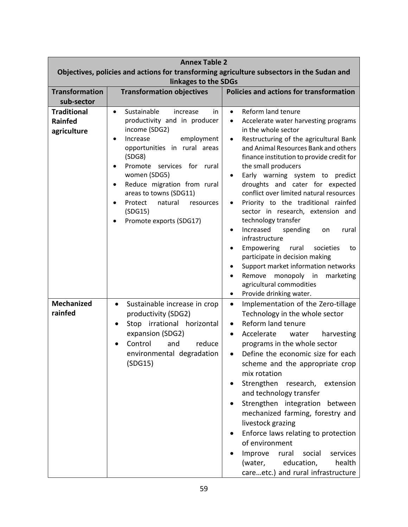| <b>Annex Table 2</b>                                                                      |                                                                                                                                                                                                                                                                                                                                                  |                                                                                                                                                                                                                                                                                                                                                                                                                                                                                                                                                                                                                                                                                                                                                                       |  |
|-------------------------------------------------------------------------------------------|--------------------------------------------------------------------------------------------------------------------------------------------------------------------------------------------------------------------------------------------------------------------------------------------------------------------------------------------------|-----------------------------------------------------------------------------------------------------------------------------------------------------------------------------------------------------------------------------------------------------------------------------------------------------------------------------------------------------------------------------------------------------------------------------------------------------------------------------------------------------------------------------------------------------------------------------------------------------------------------------------------------------------------------------------------------------------------------------------------------------------------------|--|
| Objectives, policies and actions for transforming agriculture subsectors in the Sudan and |                                                                                                                                                                                                                                                                                                                                                  |                                                                                                                                                                                                                                                                                                                                                                                                                                                                                                                                                                                                                                                                                                                                                                       |  |
| linkages to the SDGs                                                                      |                                                                                                                                                                                                                                                                                                                                                  |                                                                                                                                                                                                                                                                                                                                                                                                                                                                                                                                                                                                                                                                                                                                                                       |  |
| <b>Transformation</b>                                                                     | <b>Transformation objectives</b>                                                                                                                                                                                                                                                                                                                 | <b>Policies and actions for transformation</b>                                                                                                                                                                                                                                                                                                                                                                                                                                                                                                                                                                                                                                                                                                                        |  |
| sub-sector                                                                                |                                                                                                                                                                                                                                                                                                                                                  |                                                                                                                                                                                                                                                                                                                                                                                                                                                                                                                                                                                                                                                                                                                                                                       |  |
| <b>Traditional</b><br><b>Rainfed</b><br>agriculture                                       | Sustainable<br>increase<br>in.<br>$\bullet$<br>productivity and in producer<br>income (SDG2)<br>Increase<br>employment<br>opportunities in rural areas<br>(SDG8)<br>Promote services for rural<br>women (SDG5)<br>Reduce migration from rural<br>areas to towns (SDG11)<br>Protect<br>natural<br>resources<br>(SDG15)<br>Promote exports (SDG17) | Reform land tenure<br>$\bullet$<br>Accelerate water harvesting programs<br>$\bullet$<br>in the whole sector<br>Restructuring of the agricultural Bank<br>$\bullet$<br>and Animal Resources Bank and others<br>finance institution to provide credit for<br>the small producers<br>Early warning system to predict<br>$\bullet$<br>droughts and cater for expected<br>conflict over limited natural resources<br>Priority to the traditional rainfed<br>٠<br>sector in research, extension and<br>technology transfer<br>Increased<br>spending<br>rural<br>on<br>٠<br>infrastructure<br>Empowering<br>societies<br>rural<br>to<br>participate in decision making<br>Support market information networks<br>Remove monopoly in<br>marketing<br>agricultural commodities |  |
| <b>Mechanized</b><br>rainfed                                                              | Sustainable increase in crop<br>$\bullet$<br>productivity (SDG2)<br>Stop irrational horizontal<br>expansion (SDG2)<br>Control<br>and<br>reduce<br>environmental degradation<br>(SDG15)                                                                                                                                                           | Provide drinking water.<br>$\bullet$<br>Implementation of the Zero-tillage<br>$\bullet$<br>Technology in the whole sector<br>Reform land tenure<br>٠<br>Accelerate water<br>harvesting<br>$\bullet$<br>programs in the whole sector<br>Define the economic size for each<br>scheme and the appropriate crop<br>mix rotation<br>Strengthen research, extension<br>and technology transfer<br>Strengthen integration between<br>mechanized farming, forestry and<br>livestock grazing<br>Enforce laws relating to protection<br>of environment<br>Improve<br>social<br>services<br>rural<br>education,<br>health<br>(water,<br>careetc.) and rural infrastructure                                                                                                       |  |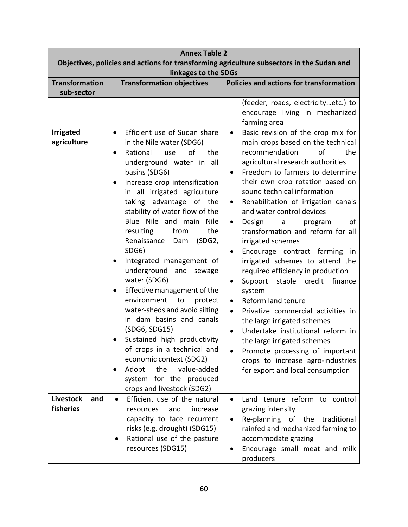| <b>Annex Table 2</b>                                                                                              |                                                                                                                                                                                                                                                                                                                                                                                                                                                                                                                                                                                                                                                                                                                                                                                         |                                                                                                                                                                                                                                                                                                                                                                                                                                                                                                                                                                                                                                                                                                                                                                                                                                                                                                                                          |  |
|-------------------------------------------------------------------------------------------------------------------|-----------------------------------------------------------------------------------------------------------------------------------------------------------------------------------------------------------------------------------------------------------------------------------------------------------------------------------------------------------------------------------------------------------------------------------------------------------------------------------------------------------------------------------------------------------------------------------------------------------------------------------------------------------------------------------------------------------------------------------------------------------------------------------------|------------------------------------------------------------------------------------------------------------------------------------------------------------------------------------------------------------------------------------------------------------------------------------------------------------------------------------------------------------------------------------------------------------------------------------------------------------------------------------------------------------------------------------------------------------------------------------------------------------------------------------------------------------------------------------------------------------------------------------------------------------------------------------------------------------------------------------------------------------------------------------------------------------------------------------------|--|
| Objectives, policies and actions for transforming agriculture subsectors in the Sudan and<br>linkages to the SDGs |                                                                                                                                                                                                                                                                                                                                                                                                                                                                                                                                                                                                                                                                                                                                                                                         |                                                                                                                                                                                                                                                                                                                                                                                                                                                                                                                                                                                                                                                                                                                                                                                                                                                                                                                                          |  |
| <b>Transformation</b>                                                                                             | Policies and actions for transformation<br><b>Transformation objectives</b>                                                                                                                                                                                                                                                                                                                                                                                                                                                                                                                                                                                                                                                                                                             |                                                                                                                                                                                                                                                                                                                                                                                                                                                                                                                                                                                                                                                                                                                                                                                                                                                                                                                                          |  |
| sub-sector                                                                                                        |                                                                                                                                                                                                                                                                                                                                                                                                                                                                                                                                                                                                                                                                                                                                                                                         |                                                                                                                                                                                                                                                                                                                                                                                                                                                                                                                                                                                                                                                                                                                                                                                                                                                                                                                                          |  |
|                                                                                                                   |                                                                                                                                                                                                                                                                                                                                                                                                                                                                                                                                                                                                                                                                                                                                                                                         | (feeder, roads, electricityetc.) to<br>encourage living in mechanized<br>farming area                                                                                                                                                                                                                                                                                                                                                                                                                                                                                                                                                                                                                                                                                                                                                                                                                                                    |  |
| <b>Irrigated</b><br>agriculture                                                                                   | Efficient use of Sudan share<br>$\bullet$<br>in the Nile water (SDG6)<br>Rational<br>of<br>the<br>use<br>underground water in all<br>basins (SDG6)<br>Increase crop intensification<br>in all irrigated agriculture<br>taking advantage of the<br>stability of water flow of the<br>Blue Nile and main<br>Nile<br>the<br>resulting<br>from<br>Renaissance<br>(SDG2,<br>Dam<br>SDG6)<br>Integrated management of<br>underground and sewage<br>water (SDG6)<br>Effective management of the<br>environment<br>to<br>protect<br>water-sheds and avoid silting<br>in dam basins and canals<br>(SDG6, SDG15)<br>Sustained high productivity<br>of crops in a technical and<br>economic context (SDG2)<br>Adopt<br>the<br>value-added<br>system for the produced<br>crops and livestock (SDG2) | Basic revision of the crop mix for<br>$\bullet$<br>main crops based on the technical<br>recommendation<br>of<br>the<br>agricultural research authorities<br>Freedom to farmers to determine<br>their own crop rotation based on<br>sound technical information<br>Rehabilitation of irrigation canals<br>$\bullet$<br>and water control devices<br>Design<br>οf<br>$\mathsf{a}$<br>program<br>$\bullet$<br>transformation and reform for all<br>irrigated schemes<br>Encourage contract farming in<br>irrigated schemes to attend the<br>required efficiency in production<br>stable<br>credit<br>finance<br>Support<br>٠<br>system<br>Reform land tenure<br>$\bullet$<br>Privatize commercial activities in<br>$\bullet$<br>the large irrigated schemes<br>Undertake institutional reform in<br>the large irrigated schemes<br>Promote processing of important<br>crops to increase agro-industries<br>for export and local consumption |  |
| <b>Livestock</b><br>and<br>fisheries                                                                              | Efficient use of the natural<br>$\bullet$<br>and<br>resources<br>increase<br>capacity to face recurrent<br>risks (e.g. drought) (SDG15)<br>Rational use of the pasture<br>resources (SDG15)                                                                                                                                                                                                                                                                                                                                                                                                                                                                                                                                                                                             | Land tenure reform to control<br>grazing intensity<br>Re-planning of the traditional<br>٠<br>rainfed and mechanized farming to<br>accommodate grazing<br>Encourage small meat and milk<br>producers                                                                                                                                                                                                                                                                                                                                                                                                                                                                                                                                                                                                                                                                                                                                      |  |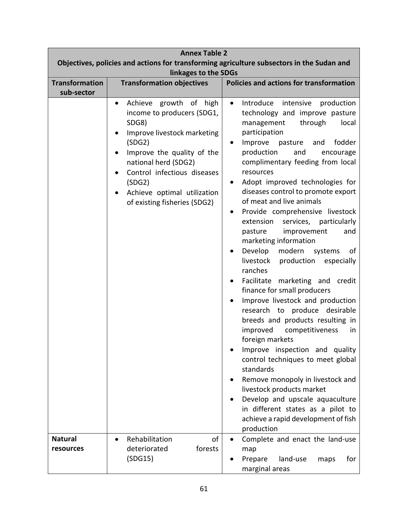| <b>Annex Table 2</b>                                                                                              |                                                                                                                                                                                                                                                                                      |                                                                                                                                                                                                                                                                                                                                                                                                                                                                                                                                                                                                                                                                                                                                                                                                                                                                                                                                                                                                                                                                                                                                                                          |  |
|-------------------------------------------------------------------------------------------------------------------|--------------------------------------------------------------------------------------------------------------------------------------------------------------------------------------------------------------------------------------------------------------------------------------|--------------------------------------------------------------------------------------------------------------------------------------------------------------------------------------------------------------------------------------------------------------------------------------------------------------------------------------------------------------------------------------------------------------------------------------------------------------------------------------------------------------------------------------------------------------------------------------------------------------------------------------------------------------------------------------------------------------------------------------------------------------------------------------------------------------------------------------------------------------------------------------------------------------------------------------------------------------------------------------------------------------------------------------------------------------------------------------------------------------------------------------------------------------------------|--|
| Objectives, policies and actions for transforming agriculture subsectors in the Sudan and<br>linkages to the SDGs |                                                                                                                                                                                                                                                                                      |                                                                                                                                                                                                                                                                                                                                                                                                                                                                                                                                                                                                                                                                                                                                                                                                                                                                                                                                                                                                                                                                                                                                                                          |  |
| <b>Transformation</b><br>sub-sector                                                                               | <b>Transformation objectives</b>                                                                                                                                                                                                                                                     | Policies and actions for transformation                                                                                                                                                                                                                                                                                                                                                                                                                                                                                                                                                                                                                                                                                                                                                                                                                                                                                                                                                                                                                                                                                                                                  |  |
|                                                                                                                   | Achieve growth of<br>high<br>$\bullet$<br>income to producers (SDG1,<br>SDG8)<br>Improve livestock marketing<br>(SDG2)<br>Improve the quality of the<br>national herd (SDG2)<br>Control infectious diseases<br>(SDG2)<br>Achieve optimal utilization<br>of existing fisheries (SDG2) | Introduce<br>intensive<br>production<br>$\bullet$<br>technology and improve pasture<br>through<br>management<br>local<br>participation<br>Improve<br>fodder<br>pasture<br>and<br>٠<br>production<br>and<br>encourage<br>complimentary feeding from local<br>resources<br>Adopt improved technologies for<br>$\bullet$<br>diseases control to promote export<br>of meat and live animals<br>Provide comprehensive livestock<br>$\bullet$<br>extension<br>services,<br>particularly<br>improvement<br>pasture<br>and<br>marketing information<br>Develop<br>modern<br>systems<br>οf<br>livestock<br>production<br>especially<br>ranches<br>Facilitate marketing and credit<br>finance for small producers<br>Improve livestock and production<br>$\bullet$<br>research to produce desirable<br>breeds and products resulting in<br>improved<br>competitiveness<br>in.<br>foreign markets<br>Improve inspection and quality<br>control techniques to meet global<br>standards<br>Remove monopoly in livestock and<br>livestock products market<br>Develop and upscale aquaculture<br>in different states as a pilot to<br>achieve a rapid development of fish<br>production |  |
| <b>Natural</b>                                                                                                    | of<br>Rehabilitation                                                                                                                                                                                                                                                                 | Complete and enact the land-use                                                                                                                                                                                                                                                                                                                                                                                                                                                                                                                                                                                                                                                                                                                                                                                                                                                                                                                                                                                                                                                                                                                                          |  |
| resources                                                                                                         | forests<br>deteriorated<br>(SDG15)                                                                                                                                                                                                                                                   | map<br>for<br>Prepare<br>land-use<br>maps<br>marginal areas                                                                                                                                                                                                                                                                                                                                                                                                                                                                                                                                                                                                                                                                                                                                                                                                                                                                                                                                                                                                                                                                                                              |  |